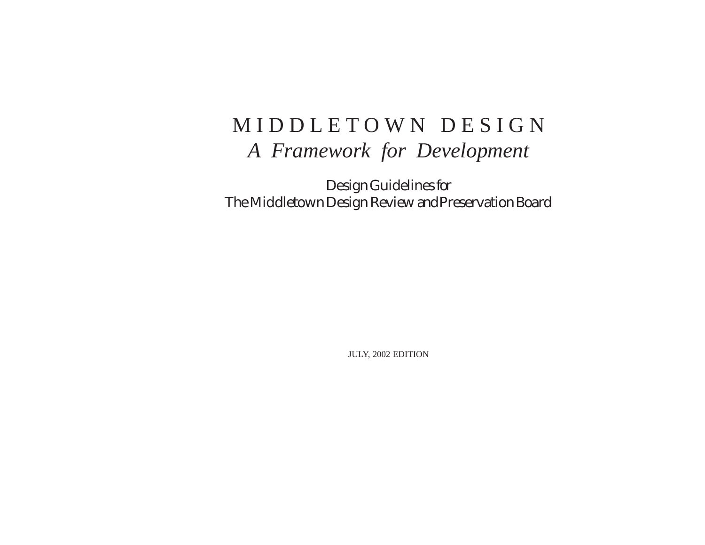# M I D D L E T O W N D E S I G N *A Framework for Development*

Design Guidelines *for* The Middletown Design Review *and* Preservation Board

JULY, 2002 EDITION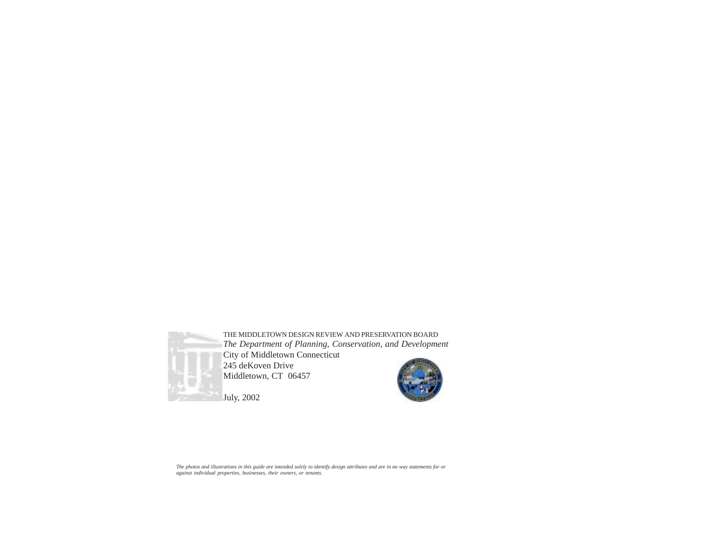

THE MIDDLETOWN DESIGN REVIEW AND PRESERVATION BOARD *The Department of Planning, Conservation, and Development* City of Middletown Connecticut 245 deKoven Drive Middletown, CT 06457

*The photos and illustrations in this guide are intended solely to identify design attributes and are in no way statements for or against individual properties, businesses, their owners, or tenants.*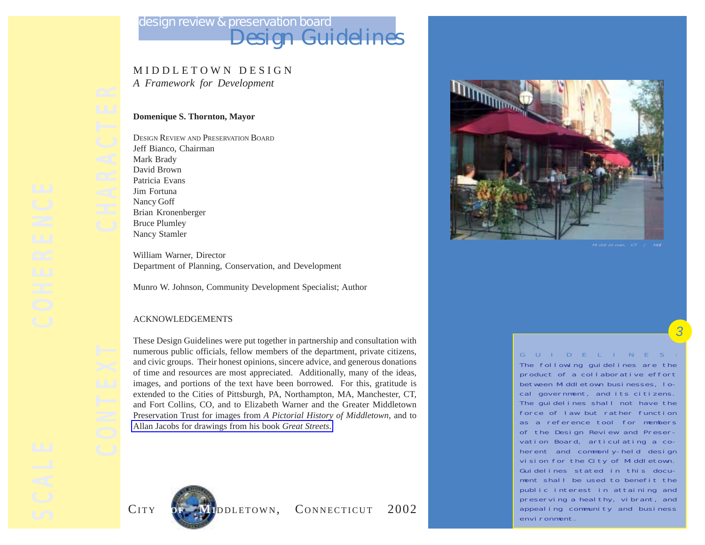## M I D D L E T O W N D E S I G N *A Framework for Development*

#### **Domenique S. Thornton, Mayor**

DESIGN REVIEW AND PRESERVATION BOARD Jeff Bianco, Chairman Mark Brady David Brown Patricia Evans Jim Fortuna Nancy Goff Brian Kronenberger Bruce Plumley Nancy Stamler

William Warner, Director Department of Planning, Conservation, and Development

Munro W. Johnson, Community Development Specialist; Author

## ACKNOWLEDGEMENTS

These Design Guidelines were put together in partnership and consultation with numerous public officials, fellow members of the department, private citizens, and civic groups. Their honest opinions, sincere advice, and generous donations of time and resources are most appreciated. Additionally, many of the ideas, images, and portions of the text have been borrowed. For this, gratitude is extended to the Cities of Pittsburgh, PA, Northampton, MA, Manchester, CT, and Fort Collins, CO, and to Elizabeth Warner and the Greater Middletown Preservation Trust for images from *A Pictorial History of Middletown*, and to [Allan Jacobs for drawings from his book](http://www-mitpress.mit.edu/catalog/item/default.asp?sid=B522692E-451A-4048-80A8-AB05AAB3D625&ttype=2&tid=7060) *Great Streets*.





*3*

## GUIDELINE

The following guidelines are the product of a collaborative effort between Middletown businesses, local government, and its citizens. The guidelines shall not have the force of law but rather function as a reference tool for members of the Design Review and Preservation Board, articulating a coherent and commonly-held design vision for the City of Middletown. Guidelines stated in this document shall be used to benefit the public interest in attaining and preserving a heal thy, vibrant, and appealing community and business environment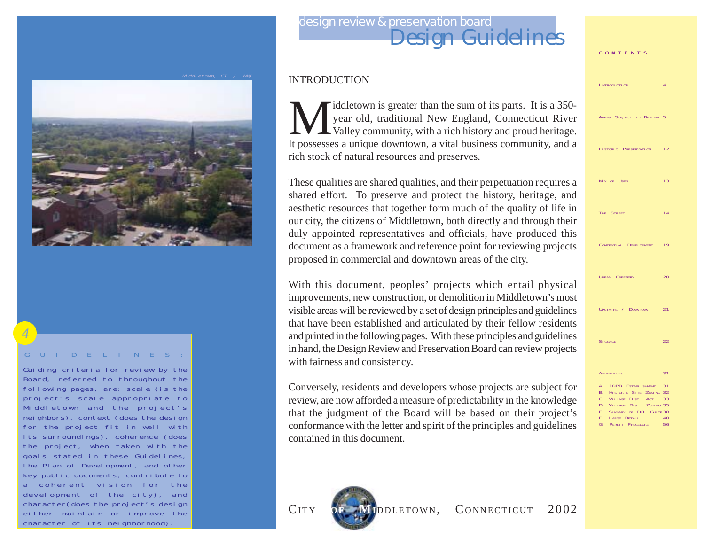

## GUIDELINES

*4*

Guiding criteria for review by the Board, referred to throughout the following pages, are: scale (is the project's scale appropriate to Middletown and the project's neighbors), context (does the design for the project fit in well with its surroundings), coherence (does the project, when taken with the goals stated in these Guidelines, the Plan of Development, and other key public documents, contribute to a coherent vision for the development of the city), and character(does the project's design either maintain or improve the character of its neighborhood).

## design review & preservation board *Design Guidelines*

## INTRODUCTION

In iddletown is greater than the sum of its parts. It is a 350-<br>year old, traditional New England, Connecticut River<br>Valley community, with a rich history and proud heritage. It possesses a unique downtown, a vital business community, and a rich stock of natural resources and preserves.

These qualities are shared qualities, and their perpetuation requires a shared effort. To preserve and protect the history, heritage, and aesthetic resources that together form much of the quality of life in our city, the citizens of Middletown, both directly and through their duly appointed representatives and officials, have produced this document as a framework and reference point for reviewing projects proposed in commercial and downtown areas of the city.

With this document, peoples' projects which entail physical improvements, new construction, or demolition in Middletown's most visible areas will be reviewed by a set of design principles and guidelines that have been established and articulated by their fellow residents and printed in the following pages. With these principles and guidelines in hand, the Design Review and Preservation Board can review projects with fairness and consistency.

Conversely, residents and developers whose projects are subject for review, are now afforded a measure of predictability in the knowledge that the judgment of the Board will be based on their project's conformance with the letter and spirit of the principles and guidelines contained in this document.



C O N T E N T S

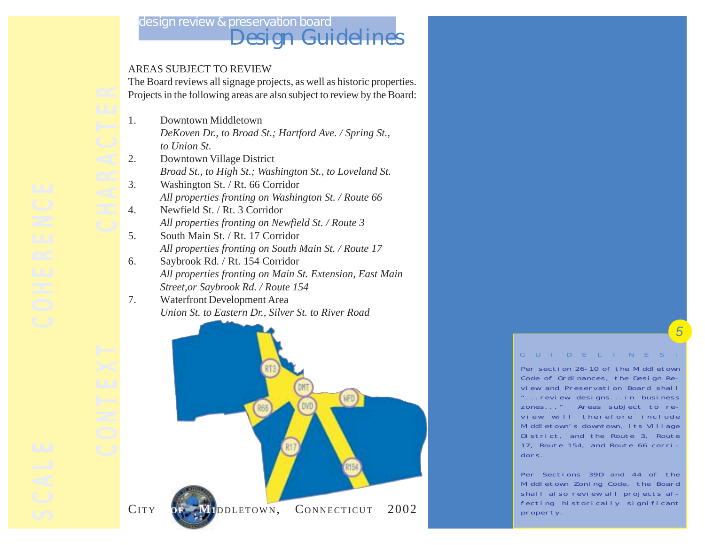## AREAS SUBJECT TO REVIEW

The Board reviews all signage projects, as well as historic properties. Projects in the following areas are also subject to review by the Board:

- 1. Downtown Middletown *DeKoven Dr., to Broad St.; Hartford Ave. / Spring St., to Union St.*
- 2. Downtown Village District *Broad St., to High St.; Washington St., to Loveland St.*
- 3. Washington St. / Rt. 66 Corridor *All properties fronting on Washington St. / Route 66*
- 4. Newfield St. / Rt. 3 Corridor *All properties fronting on Newfield St. / Route 3*
- 5. South Main St. / Rt. 17 Corridor *All properties fronting on South Main St. / Route 17*
- 6. Saybrook Rd. / Rt. 154 Corridor *All properties fronting on Main St. Extension, East Main Street,or Saybrook Rd. / Route 154*
- 7. Waterfront Development Area *Union St. to Eastern Dr., Silver St. to River Road*



## GUIDELINE

*5*

Per section 26-10 of the Middletown Code of Ordinances, the Design Review and Preservation Board shall "...review designs...in business zones..." Areas subject to review will therefore include Middletown's downtown, its Village District, and the Route 3, Route 17, Route 154, and Route 66 corridors.

Per Sections 39D and 44 of the Middletown Zoning Code, the Board shall also review all projects affecting historically significant property.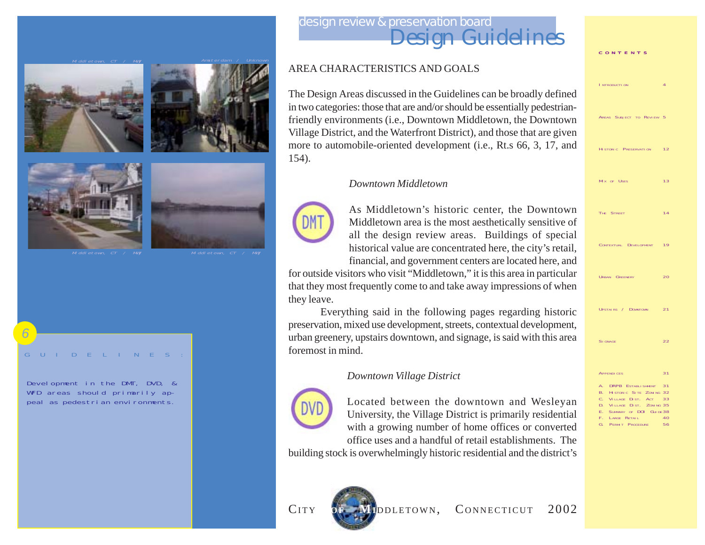





## GUIDELINES

*6*

Development in the DMT, DVD, & WFD areas should primarily appeal as pedestrian environments.

## design review & preservation board *Design Guidelines*

## AREA CHARACTERISTICS AND GOALS

The Design Areas discussed in the Guidelines can be broadly defined in two categories: those that are and/or should be essentially pedestrianfriendly environments (i.e., Downtown Middletown, the Downtown Village District, and the Waterfront District), and those that are given more to automobile-oriented development (i.e., Rt.s 66, 3, 17, and 154).

#### *Downtown Middletown*



As Middletown's historic center, the Downtown Middletown area is the most aesthetically sensitive of all the design review areas. Buildings of special historical value are concentrated here, the city's retail, financial, and government centers are located here, and

for outside visitors who visit "Middletown," it is this area in particular that they most frequently come to and take away impressions of when they leave.

Everything said in the following pages regarding historic preservation, mixed use development, streets, contextual development, urban greenery, upstairs downtown, and signage, is said with this area foremost in mind.

## *Downtown Village District*



Located between the downtown and Wesleyan University, the Village District is primarily residential with a growing number of home offices or converted office uses and a handful of retail establishments. The

building stock is overwhelmingly historic residential and the district's



CITY OF MIDDLETOWN, CONNECTICUT 2002

#### C O N T E N T S

| I NTRODUCTION                                                                                                                                                                                                                   | $\overline{4}$ |
|---------------------------------------------------------------------------------------------------------------------------------------------------------------------------------------------------------------------------------|----------------|
| AREAS SUBJECT TO REVIEW 5                                                                                                                                                                                                       |                |
| HISTORIC PRESERVATION 12                                                                                                                                                                                                        |                |
| MIX OF USES                                                                                                                                                                                                                     | 13             |
| THE STREET                                                                                                                                                                                                                      | 14             |
| CONTEXTUAL DEVELOPMENT                                                                                                                                                                                                          | 19             |
| URBAN GREENERY                                                                                                                                                                                                                  | 20             |
| UPSTAIRS / DOWNTOWN                                                                                                                                                                                                             | 21             |
| <b>SI GNAGE</b>                                                                                                                                                                                                                 | 22             |
| <b>APPENDICES</b>                                                                                                                                                                                                               | 31             |
| <b>DRPB</b> ESTABLISHMENT 31<br>A.<br>HISTORIC SITE ZONING 32<br><b>B.</b><br>VILLAGE DIST. ACT 33<br>VILLAGE DIST. ZONING 35<br>SUMMARY OF DOI GUIDE 38<br>$C_{+}$<br>D.<br>Е.<br>Ë.<br>LARGE RETAIL<br>PERMIT PROCEDURE<br>G. | 40<br>56       |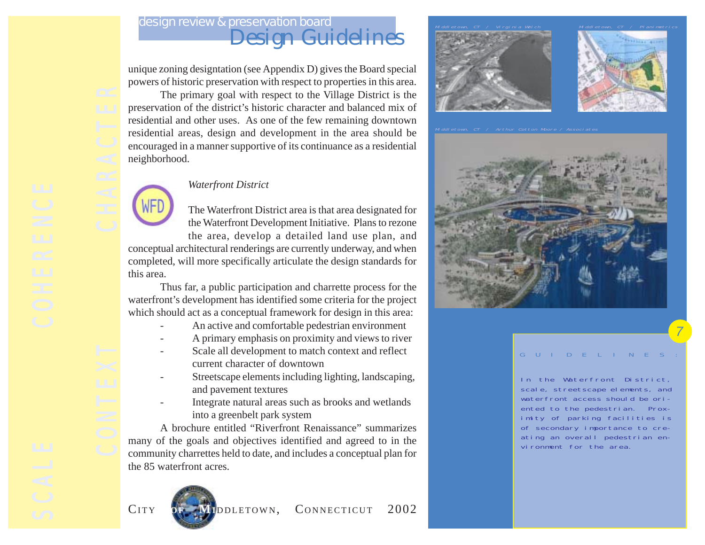unique zoning designtation (see Appendix D) gives the Board special powers of historic preservation with respect to properties in this area.

The primary goal with respect to the Village District is the preservation of the district's historic character and balanced mix of residential and other uses. As one of the few remaining downtown residential areas, design and development in the area should be encouraged in a manner supportive of its continuance as a residential neighborhood.



-

## *Waterfront District*

The Waterfront District area is that area designated for the Waterfront Development Initiative. Plans to rezone the area, develop a detailed land use plan, and

conceptual architectural renderings are currently underway, and when completed, will more specifically articulate the design standards for this area.

Thus far, a public participation and charrette process for the waterfront's development has identified some criteria for the project which should act as a conceptual framework for design in this area:

- -An active and comfortable pedestrian environment
- -A primary emphasis on proximity and views to river
- - Scale all development to match context and reflect current character of downtown
- Streetscape elements including lighting, landscaping, and pavement textures
- Integrate natural areas such as brooks and wetlands into a greenbelt park system

many of the goals and objectives identified and agreed to in the<br>community charrettes held to date, and includes a conceptual plan for<br>the 85 waterfront acres.<br>CITY OF MIDDLETOWN, CONNECTICUT 2002 A brochure entitled "Riverfront Renaissance" summarizes many of the goals and objectives identified and agreed to in the community charrettes held to date, and includes a conceptual plan for the 85 waterfront acres.









## GUIDELINE

*7*

In the Waterfront District, scale, streetscape elements, and waterfront access should be oriented to the pedestrian. Proximity of parking facilities is of secondary importance to creating an overall pedestrian environment for the area.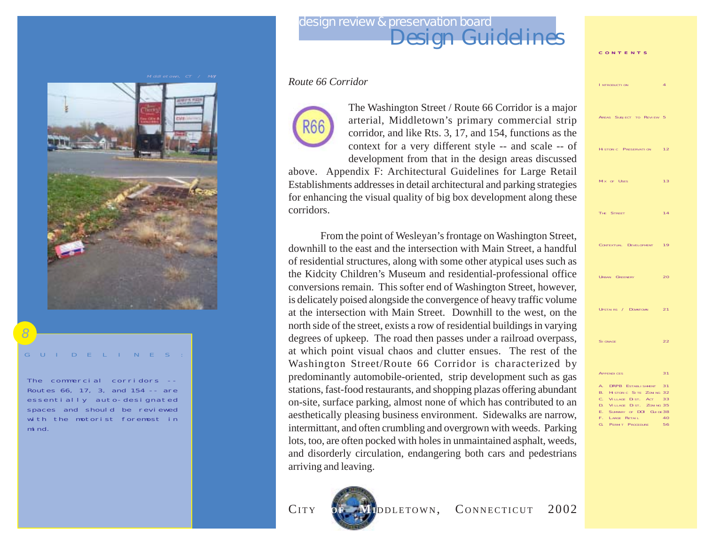

#### DELINE

*8*

The commercial corridors -- Routes 66, 17, 3, and 154 -- are essentially auto-designated spaces and should be reviewed with the motorist foremost in mind.

## design review & preservation board *Design Guidelines*

#### *Route 66 Corridor*



The Washington Street / Route 66 Corridor is a major arterial, Middletown's primary commercial strip corridor, and like Rts. 3, 17, and 154, functions as the context for a very different style -- and scale -- of development from that in the design areas discussed

above. Appendix F: Architectural Guidelines for Large Retail Establishments addresses in detail architectural and parking strategies for enhancing the visual quality of big box development along these corridors.

From the point of Wesleyan's frontage on Washington Street, downhill to the east and the intersection with Main Street, a handful of residential structures, along with some other atypical uses such as the Kidcity Children's Museum and residential-professional office conversions remain. This softer end of Washington Street, however, is delicately poised alongside the convergence of heavy traffic volume at the intersection with Main Street. Downhill to the west, on the north side of the street, exists a row of residential buildings in varying degrees of upkeep. The road then passes under a railroad overpass, at which point visual chaos and clutter ensues. The rest of the Washington Street/Route 66 Corridor is characterized by predominantly automobile-oriented, strip development such as gas stations, fast-food restaurants, and shopping plazas offering abundant on-site, surface parking, almost none of which has contributed to an aesthetically pleasing business environment. Sidewalks are narrow, intermittant, and often crumbling and overgrown with weeds. Parking lots, too, are often pocked with holes in unmaintained asphalt, weeds, and disorderly circulation, endangering both cars and pedestrians arriving and leaving.



CITY OF MIDDLETOWN, CONNECTICUT 2002

#### C O N T E N T S

INTRODUCTION

| AREAS SUBJECT TO REVIEW 5                                                                                                                                                                                                 |                |
|---------------------------------------------------------------------------------------------------------------------------------------------------------------------------------------------------------------------------|----------------|
| HISTORIC PRESERVATION                                                                                                                                                                                                     | 12             |
| MIX OF USES                                                                                                                                                                                                               | 13             |
| THE STREET                                                                                                                                                                                                                | 14             |
| CONTEXTUAL DEVELOPMENT                                                                                                                                                                                                    | 19             |
| URBAN GREENERY                                                                                                                                                                                                            | 20             |
| UPSTAIRS / DOWNTOWN 21                                                                                                                                                                                                    |                |
| <b>SI GNAGE</b>                                                                                                                                                                                                           | 22             |
| <b>APPENDICES</b>                                                                                                                                                                                                         | 31             |
| A. DRPB ESTABLISHMENT 31<br><b>B.</b><br>HISTORIC SITE ZONING<br>VILLAGE DIST. ACT 33<br>VILLAGE DIST. ZONING 35<br>SUMMARY OF DOI GUIDE 38<br>$\mathsf{C}$ .<br>D.<br>Ē.<br>F.<br>LARGE RETAIL<br>PERMIT PROCEDURE<br>G. | 32<br>40<br>56 |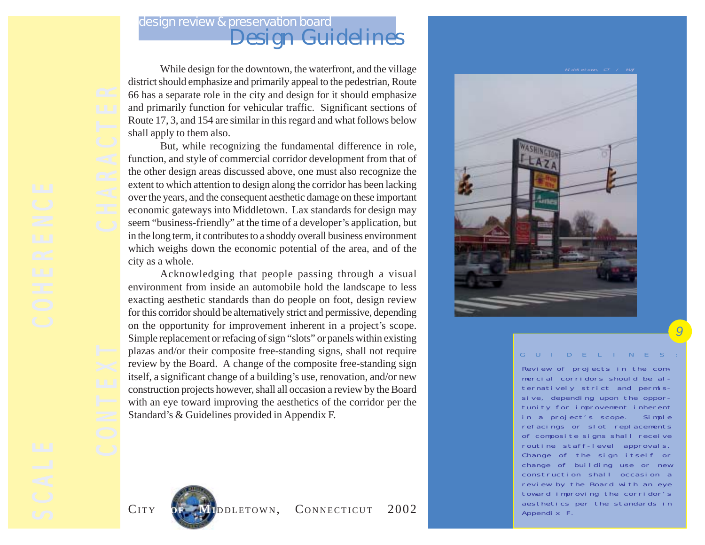While design for the downtown, the waterfront, and the village district should emphasize and primarily appeal to the pedestrian, Route 66 has a separate role in the city and design for it should emphasize and primarily function for vehicular traffic. Significant sections of Route 17, 3, and 154 are similar in this regard and what follows below shall apply to them also.

But, while recognizing the fundamental difference in role, function, and style of commercial corridor development from that of the other design areas discussed above, one must also recognize the extent to which attention to design along the corridor has been lacking over the years, and the consequent aesthetic damage on these important economic gateways into Middletown. Lax standards for design may seem "business-friendly" at the time of a developer's application, but in the long term, it contributes to a shoddy overall business environment which weighs down the economic potential of the area, and of the city as a whole.

Acknowledging that people passing through a visual environment from inside an automobile hold the landscape to less exacting aesthetic standards than do people on foot, design review for this corridor should be alternatively strict and permissive, depending on the opportunity for improvement inherent in a project's scope. Simple replacement or refacing of sign "slots" or panels within existing plazas and/or their composite free-standing signs, shall not require review by the Board. A change of the composite free-standing sign itself, a significant change of a building's use, renovation, and/or new construction projects however, shall all occasion a review by the Board with an eye toward improving the aesthetics of the corridor per the Standard's & Guidelines provided in Appendix F.



## GUIDELIN

Review of projects in the commercial corridors should be alternatively strict and permissive, depending upon the opportunity for improvement inherent in a project's scope. Simple refacings or slot replacements of composite signs shall receive routine staff-level approvals. Change of the sign itself or change of building use or new construction shall occasion a review by the Board with an eye toward improving the corridor's aesthetics per the standards in Appendix F.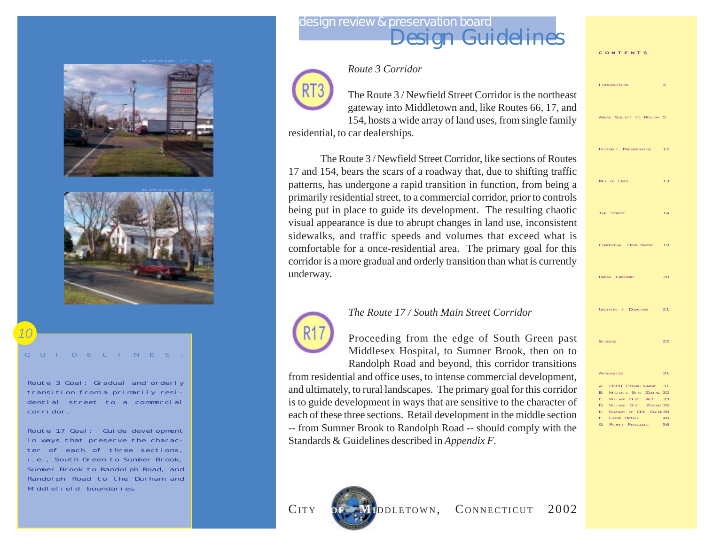



## DELINES

*10*

Route 3 Goal: Gradual and orderly transition from a primarily residential street to a commercial corridor.

Route 17 Goal: Guide development in ways that preserve the character of each of three sections, i.e., South Green to Sumner Brook, Sumner Brook to Randolph Road, and Randolph Road to the Durham and Middlefield boundaries.

## design review & preservation board *Design Guidelines*



*Route 3 Corridor*

The Route 3 / Newfield Street Corridor is the northeast gateway into Middletown and, like Routes 66, 17, and 154, hosts a wide array of land uses, from single family residential, to car dealerships.

The Route 3 / Newfield Street Corridor, like sections of Routes 17 and 154, bears the scars of a roadway that, due to shifting traffic patterns, has undergone a rapid transition in function, from being a primarily residential street, to a commercial corridor, prior to controls being put in place to guide its development. The resulting chaotic visual appearance is due to abrupt changes in land use, inconsistent sidewalks, and traffic speeds and volumes that exceed what is comfortable for a once-residential area. The primary goal for this corridor is a more gradual and orderly transition than what is currently underway.



## *The Route 17 / South Main Street Corridor*

Proceeding from the edge of South Green past Middlesex Hospital, to Sumner Brook, then on to Randolph Road and beyond, this corridor transitions

from residential and office uses, to intense commercial development, and ultimately, to rural landscapes. The primary goal for this corridor is to guide development in ways that are sensitive to the character of each of these three sections. Retail development in the middle section -- from Sumner Brook to Randolph Road -- should comply with the Standards & Guidelines described in *Appendix F*.



C O N T E N T S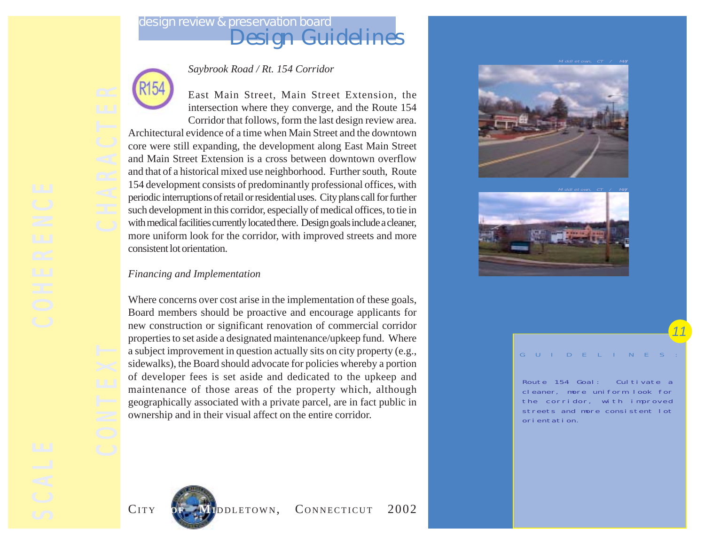

## *Saybrook Road / Rt. 154 Corridor*

East Main Street, Main Street Extension, the intersection where they converge, and the Route 154 Corridor that follows, form the last design review area.

Architectural evidence of a time when Main Street and the downtown core were still expanding, the development along East Main Street and Main Street Extension is a cross between downtown overflow and that of a historical mixed use neighborhood. Further south, Route 154 development consists of predominantly professional offices, with periodic interruptions of retail or residential uses. City plans call for further such development in this corridor, especially of medical offices, to tie in with medical facilities currently located there. Design goals include a cleaner, more uniform look for the corridor, with improved streets and more consistent lot orientation.

## *Financing and Implementation*

Where concerns over cost arise in the implementation of these goals, Board members should be proactive and encourage applicants for new construction or significant renovation of commercial corridor properties to set aside a designated maintenance/upkeep fund. Where a subject improvement in question actually sits on city property (e.g., sidewalks), the Board should advocate for policies whereby a portion of developer fees is set aside and dedicated to the upkeep and maintenance of those areas of the property which, although geographically associated with a private parcel, are in fact public in ownership and in their visual affect on the entire corridor.









## GUIDELINE

*11*

Route 154 Goal: Cultivate a cleaner, more uniform look for the corridor, with improved streets and more consistent lot orientation.

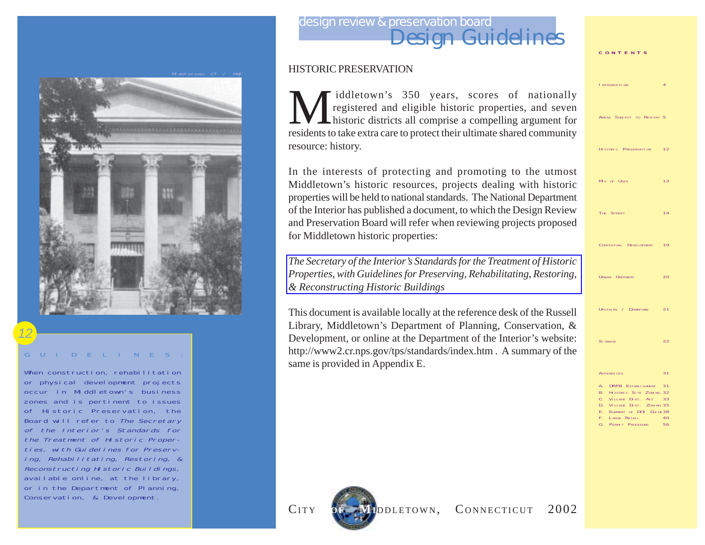

## GUIDELINES:

or physical development projects occur in Middletown's business zones and is pertinent to issues of Historic Preservation, the Board will refer to The Secretary of the Interior's Standards for the Treatment of Historic Properties, with Guidelines for Preserving, Rehabilitating, Restoring, & Reconstructing Historic Buildings, available online, at the library, or in the Department of Planning, Conservation, & Development.

## design review & preservation board *Design Guidelines*

## HISTORIC PRESERVATION

Indetown's 350 years, scores of nationally registered and eligible historic properties, and seven historic districts all comprise a compelling argument for residents to take extra care to protect their ultimate shared community resource: history.

In the interests of protecting and promoting to the utmost Middletown's historic resources, projects dealing with historic properties will be held to national standards. The National Department of the Interior has published a document, to which the Design Review and Preservation Board will refer when reviewing projects proposed for Middletown historic properties:

*[The Secretary of the Interior's Standards for the Treatment of Historic](http://www2.cr.nps.gov/tps/standguide/index.htm) Properties, with Guidelines for Preserving, Rehabilitating, Restoring, & Reconstructing Historic Buildings*

This document is available locally at the reference desk of the Russell Library, Middletown's Department of Planning, Conservation, & Development, or online at the Department of the Interior's website: http://www2.cr.nps.gov/tps/standards/index.htm . A summary of the when construction, rehabilitation **in the same is provided in Appendix E.** 

# INTRODUCTION AREAS SUBJECT TO REVIEW 5 HISTORIC PRESERVATION Mix of Uses 13 THE STREET 14 CONTEXTUAL DEVELOPMENT URBAN GREENERY 20 UPSTALRS / DOWN SIGNAGE 22 **APPENDICES** 31 A. DRPB ESTABLISHMENT 31 B. HISTORIC SITE ZONING 32 C. VILLAGE DIST. ACT 33 D. VILLAGE DIST. ZONING 35 E. SUMMARY OF DOI GUIDE 38 F. LARGE RETAIL 40 G. PERMIT PROCEDURE 56

C O N T E N T S

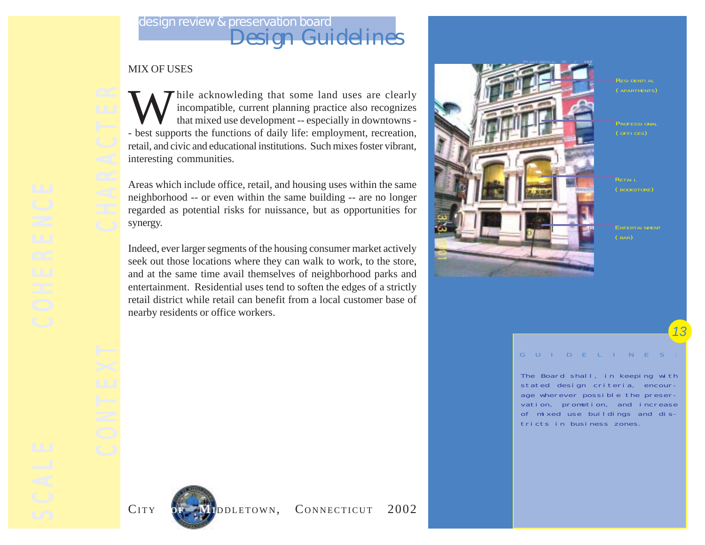

MIX OF USES

hile acknowleding that some land uses are clearly incompatible, current planning practice also recognizes that mixed use development -- especially in downtowns -- best supports the functions of daily life: employment, recreation, retail, and civic and educational institutions. Such mixes foster vibrant, interesting communities.

Areas which include office, retail, and housing uses within the same neighborhood -- or even within the same building -- are no longer regarded as potential risks for nuissance, but as opportunities for synergy.

Indeed, ever larger segments of the housing consumer market actively seek out those locations where they can walk to work, to the store, and at the same time avail themselves of neighborhood parks and entertainment. Residential uses tend to soften the edges of a strictly retail district while retail can benefit from a local customer base of nearby residents or office workers.



RESIDENTIAL (APARTMENTS)

PROFESSIONAL

**RETAIL** 

ENTERTAI NMENT (BAR)

*13*

## GUIDELINE

The Board shall, in keeping with stated design criteria, encourage wherever possible the preservation, promotion, and increase of mixed use buildings and districts in business zones.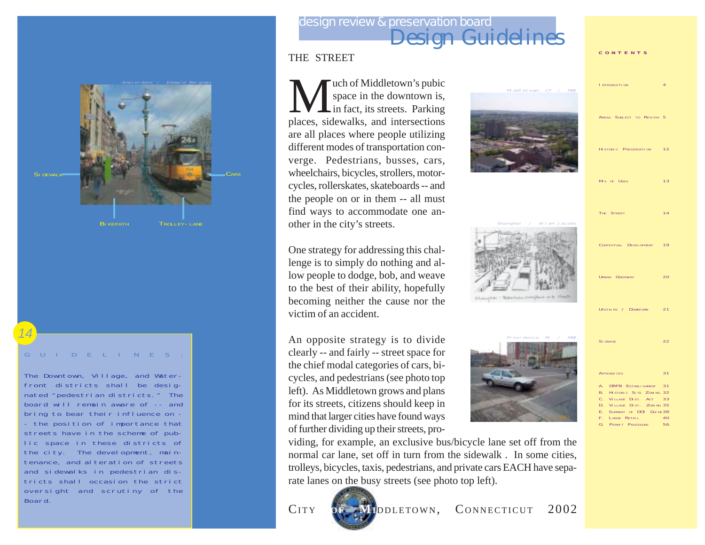

## DELINE

*14*

The Downtown, Village, and Waterfront districts shall be designated "pedestrian districts." The board will remain aware of -- and bring to bear their influence on -- the position of importance that streets have in the scheme of public space in these districts of the city. The development, maintenance, and al teration of streets and sidewalks in pedestrian districts shall occasion the strict oversight and scrutiny of the Board.

## design review & preservation board *Design Guidelines*

## THE STREET

I uch of Middletown's pubic<br>space in the downtown is,<br>in fact, its streets. Parking places, sidewalks, and intersections are all places where people utilizing different modes of transportation converge. Pedestrians, busses, cars, wheelchairs, bicycles, strollers, motorcycles, rollerskates, skateboards -- and the people on or in them -- all must find ways to accommodate one another in the city's streets.

One strategy for addressing this challenge is to simply do nothing and allow people to dodge, bob, and weave to the best of their ability, hopefully becoming neither the cause nor the victim of an accident.

An opposite strategy is to divide clearly -- and fairly -- street space for the chief modal categories of cars, bicycles, and pedestrians (see photo top left). As Middletown grows and plans for its streets, citizens should keep in mind that larger cities have found ways of further dividing up their streets, pro-

viding, for example, an exclusive bus/bicycle lane set off from the normal car lane, set off in turn from the sidewalk . In some cities, trolleys, bicycles, taxis, pedestrians, and private cars EACH have separate lanes on the busy streets (see photo top left).

Middletown, CT

Providence,  $RI /$ 

Shanghai / Allan Ja

| <b>MWJ</b> | I NTRODUCTI ON                                                                                                                                                                                          | $\overline{4}$ |
|------------|---------------------------------------------------------------------------------------------------------------------------------------------------------------------------------------------------------|----------------|
|            | AREAS SUBJECT TO REVIEW 5                                                                                                                                                                               |                |
|            | HISTORIC PRESERVATION 12                                                                                                                                                                                |                |
|            | MIX OF USES                                                                                                                                                                                             | 13             |
| cobs       | THE STREET                                                                                                                                                                                              | 14             |
|            | CONTEXTUAL DEVELOPMENT 19                                                                                                                                                                               |                |
|            | URBAN GREENERY                                                                                                                                                                                          | - 20           |
|            | UPSTAIRS / DOWNTOWN 21                                                                                                                                                                                  |                |
| <b>MWJ</b> | <b>SI GNAGE</b>                                                                                                                                                                                         | 22             |
|            | APPENDICES                                                                                                                                                                                              | 31             |
|            | A. DRPB ESTABLISHMENT 31<br>HISTORIC SITE ZONING 32<br><b>B.</b><br>C. VILLAGE DIST. ACT 33<br>D. VILLAGE DIST. ZONING 35<br>Ē.<br>SUMMARY OF DOI GUIDE 38<br>F.<br>LARGE RETAIL<br>G. PERMIT PROCEDURE | 40<br>56       |
|            |                                                                                                                                                                                                         |                |

C O N T E N T S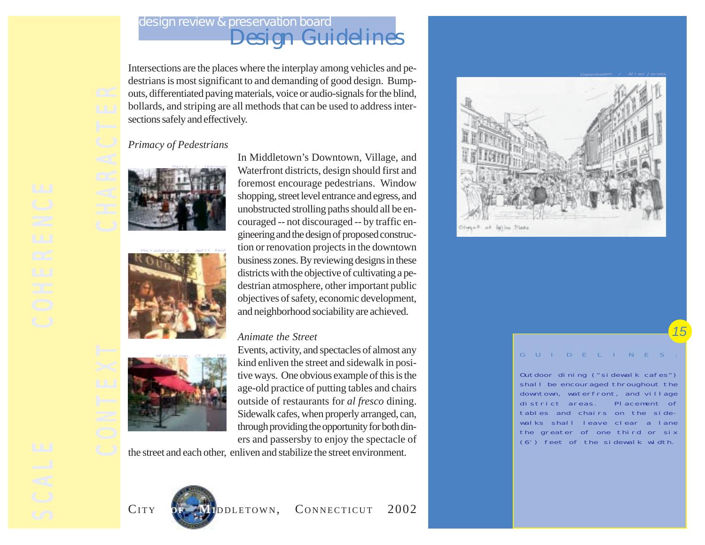Intersections are the places where the interplay among vehicles and pedestrians is most significant to and demanding of good design. Bumpouts, differentiated paving materials, voice or audio-signals for the blind, bollards, and striping are all methods that can be used to address intersections safely and effectively.

## *Primacy of Pedestrians*







In Middletown's Downtown, Village, and Waterfront districts, design should first and foremost encourage pedestrians. Window shopping, street level entrance and egress, and unobstructed strolling paths should all be encouraged -- not discouraged -- by traffic engineering and the design of proposed construction or renovation projects in the downtown business zones. By reviewing designs in these districts with the objective of cultivating a pedestrian atmosphere, other important public objectives of safety, economic development, and neighborhood sociability are achieved.

## *Animate the Street*

Events, activity, and spectacles of almost any kind enliven the street and sidewalk in positive ways. One obvious example of this is the age-old practice of putting tables and chairs outside of restaurants for *al fresco* dining. Sidewalk cafes, when properly arranged, can, through providing the opportunity for both diners and passersby to enjoy the spectacle of

EXTERN THE STREET OF THE STREET OF THE STREET OF THE STREET OF THE STREET OF THE STREET OF THE STREET OF THE STREET OF THE STREET OF THE STREET OF THE STREET OF THE STREET OF THE STREET OF THE STREET OF THE STREET OF THE S the street and each other, enliven and stabilize the street environment.





## GUIDELINE

*15*

Outdoor dining ("sidewalk cafes") shall be encouraged throughout the downtown, waterfront, and village district areas. Placement of tables and chairs on the sidewalks shall leave clear a lane the greater of one third or six (6') feet of the sidewalk width.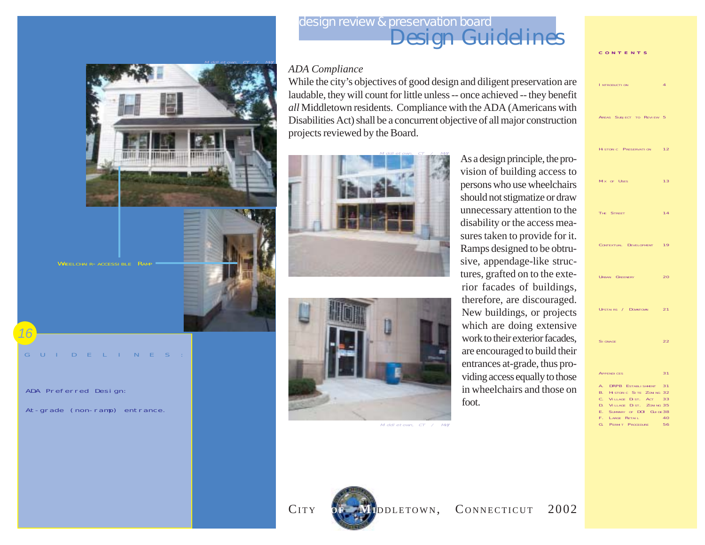## *ADA Compliance*

While the city's objectives of good design and diligent preservation are laudable, they will count for little unless -- once achieved -- they benefit *all* Middletown residents. Compliance with the ADA (Americans with Disabilities Act) shall be a concurrent objective of all major construction projects reviewed by the Board.





Middletown,  $CT$  /

As a design principle, the provision of building access to persons who use wheelchairs should not stigmatize or draw unnecessary attention to the disability or the access measures taken to provide for it. Ramps designed to be obtrusive, appendage-like structures, grafted on to the exterior facades of buildings, therefore, are discouraged. New buildings, or projects which are doing extensive work to their exterior facades, are encouraged to build their entrances at-grade, thus providing access equally to those in wheelchairs and those on foot.

| I NTRODUCTION                                                                                                                                                                                                                      | $\overline{4}$ |
|------------------------------------------------------------------------------------------------------------------------------------------------------------------------------------------------------------------------------------|----------------|
| AREAS SUBJECT TO REVIEW 5                                                                                                                                                                                                          |                |
| HISTORIC PRESERVATION 12                                                                                                                                                                                                           |                |
| MIX OF USES                                                                                                                                                                                                                        | 13             |
| THE STREET                                                                                                                                                                                                                         | 14             |
| CONTEXTUAL DEVELOPMENT 19                                                                                                                                                                                                          |                |
| URBAN GREENERY                                                                                                                                                                                                                     | 20             |
| UPSTAIRS / DOWNTOWN                                                                                                                                                                                                                | 21             |
| <b>SI GNAGE</b>                                                                                                                                                                                                                    | 22             |
| <b>APPENDICES</b>                                                                                                                                                                                                                  | 31             |
| DRPB ESTABLISHMENT 31<br>A.<br>B.<br>HISTORIC SITE ZONING 32<br>$\overline{\mathsf{C}}$ .<br>VILLAGE DIST. ACT 33<br>VILLAGE DIST. ZONING 35<br>SUMMARY OF DOI GUIDE38<br>D.<br>Ē.<br>F.<br>LARGE RETAIL<br>PERMIT PROCEDURE<br>G. | 40<br>56       |

C O N T E N T S



WHEELCHAIR-ACCESSIBLE RAM

## GUIDELINES

ADA Preferred Design: At-grade (non-ramp) entrance.

*16*



CITY OF MIDDLETOWN, CONNECTICUT 2002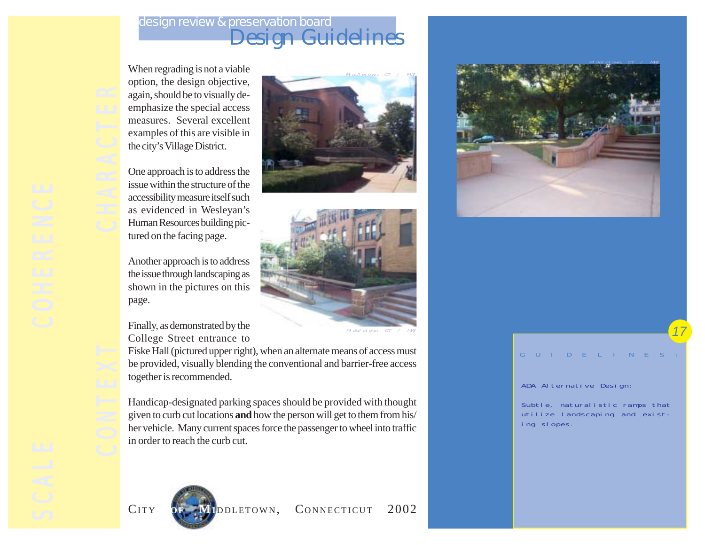When regrading is not a viable option, the design objective, again, should be to visually deemphasize the special access measures. Several excellent examples of this are visible in the city's Village District.

One approach is to address the issue within the structure of the accessibility measure itself such as evidenced in Wesleyan's Human Resources building pictured on the facing page.

Another approach is to address the issue through landscaping as shown in the pictures on this page.

Finally, as demonstrated by the College Street entrance to

Fiske Hall (pictured upper right), when an alternate means of access must be provided, visually blending the conventional and barrier-free access together is recommended.

SCALE CONSIDER THE CITY OF MILDDLETOWN, CONNECTICUT 2002 Handicap-designated parking spaces should be provided with thought given to curb cut locations **and** how the person will get to them from his/ her vehicle. Many current spaces force the passenger to wheel into traffic in order to reach the curb cut.







Middletown, CT



## GUIDELINE

*17*

ADA Alternative Design:

Subtle, naturalistic ramps that utilize landscaping and existing slopes.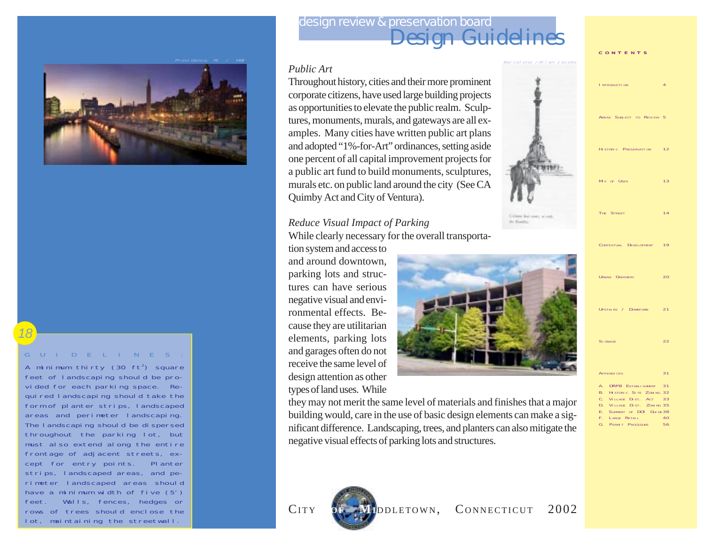

## IDELINE

*18*

A minimum thirty  $(30 \text{ ft}^2)$  square feet of landscaping should be provided for each parking space. Required I andscaping should take the form of planter strips, landscaped areas and perimeter landscaping. The I andscaping should be dispersed throughout the parking lot, but must also extend along the entire frontage of adjacent streets, except for entry points. Planter strips, landscaped areas, and perimeter landscaped areas should have a minimum width of five (5') feet. Walls, fences, hedges or rows of trees should enclose the lot, maintaining the streetwall.

## design review & preservation board *Design Guidelines*

## *Public Art*

Throughout history, cities and their more prominent corporate citizens, have used large building projects as opportunities to elevate the public realm. Sculptures, monuments, murals, and gateways are all examples. Many cities have written public art plans and adopted "1%-for-Art" ordinances, setting aside one percent of all capital improvement projects for a public art fund to build monuments, sculptures, murals etc. on public land around the city (See CA Quimby Act and City of Ventura).

## *Reduce Visual Impact of Parking* While clearly necessary for the overall transporta-

tion system and access to and around downtown, parking lots and structures can have serious negative visual and environmental effects. Because they are utilitarian elements, parking lots and garages often do not receive the same level of design attention as other types of land uses. While



the Hundley

they may not merit the same level of materials and finishes that a major building would, care in the use of basic design elements can make a significant difference. Landscaping, trees, and planters can also mitigate the negative visual effects of parking lots and structures.

#### Providence, RI / MWJ – Providence Providence Providence Providence Providence Providence Providence Providence



C O N T E N T S

UPSTALRS / DOWNT SIGNAGE 22 **ADDENDICES** DRPB ESTABLISHMENT 31 B. HISTORIC SITE ZONING 32 VILLAGE DIST. ACT 33 D. VILLAGE DIST. ZONING 35 E. SUMMARY OF DOI GUIDE38 F. LARGE RETAIL 40 G. PERMIT PROCEDURE 56

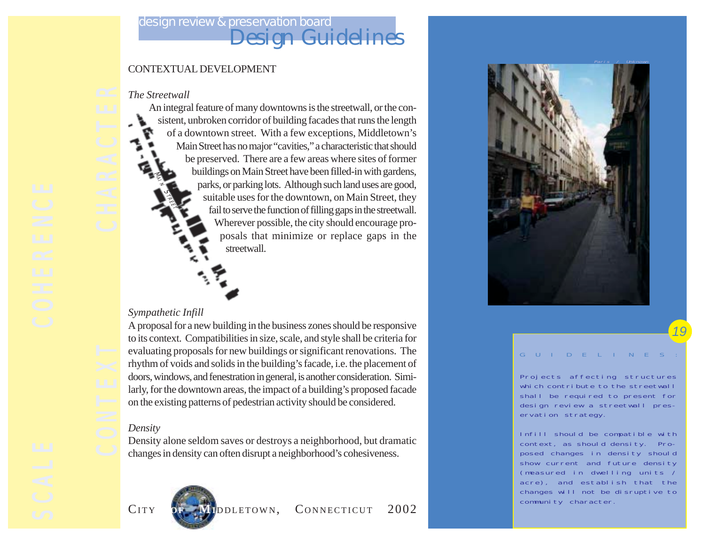## CONTEXTUAL DEVELOPMENT

## *The Streetwall*

An integral feature of many downtowns is the streetwall, or the consistent, unbroken corridor of building facades that runs the length of a downtown street. With a few exceptions, Middletown's Main Street has no major "cavities," a characteristic that should be preserved. There are a few areas where sites of former buildings on Main Street have been filled-in with gardens, parks, or parking lots. Although such land uses are good, suitable uses for the downtown, on Main Street, they fail to serve the function of filling gaps in the streetwall. Wherever possible, the city should encourage proposals that minimize or replace gaps in the streetwall.  $\mathbf{N}$ 

## *Sympathetic Infill*

A proposal for a new building in the business zones should be responsive to its context. Compatibilities in size, scale, and style shall be criteria for evaluating proposals for new buildings or significant renovations. The rhythm of voids and solids in the building's facade, i.e. the placement of doors, windows, and fenestration in general, is another consideration. Similarly, for the downtown areas, the impact of a building's proposed facade on the existing patterns of pedestrian activity should be considered.

## *Density*

Density alone seldom saves or destroys a neighborhood, but dramatic changes in density can often disrupt a neighborhood's cohesiveness. Density alone seldom saves or destroys a neighborhood, but dramatic changes in density can often disrupt a neighborhood's cohesiveness.





## GUIDELINE

*19*

Projects affecting structures which contribute to the streetwall shall be required to present for design review a streetwall preservation strategy.

Infill should be compatible with context, as should density. Proposed changes in density should show current and future density (measured in dwelling units / acre), and establish that the changes will not be disruptive to community character.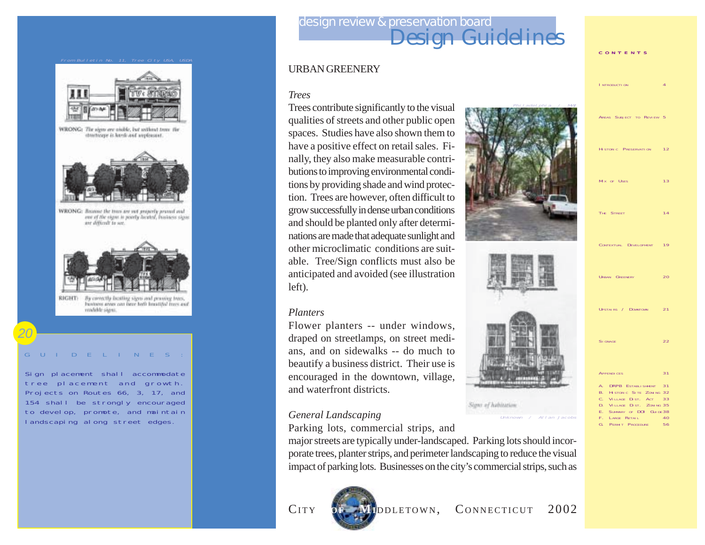

WRONG: The signs are pisible, but uniforal trees streetscape is loosk and anylossent.



WRONG: Bronne the trees are not properly proved and ove of the signs is poorly heated, business signs are difficult to see."



By correctly locating signs and praving trees. welcome areas can force both bountiful trees and middle signi.

#### DELINES

*20*

Sign placement shall accommodate tree placement and growth. Projects on Routes 66, 3, 17, and 154 shall be strongly encouraged to develop, promote, and maintain landscaping along street edges.

## design review & preservation board *Design Guidelines*

#### URBAN GREENERY

#### *Trees*

Trees contribute significantly to the visual qualities of streets and other public open spaces. Studies have also shown them to have a positive effect on retail sales. Finally, they also make measurable contributions to improving environmental conditions by providing shade and wind protection. Trees are however, often difficult to grow successfully in dense urban conditions and should be planted only after determinations are made that adequate sunlight and other microclimatic conditions are suitable. Tree/Sign conflicts must also be anticipated and avoided (see illustration left).

## *Planters*

Flower planters -- under windows, draped on streetlamps, on street medians, and on sidewalks -- do much to beautify a business district. Their use is encouraged in the downtown, village, and waterfront districts.

## *General Landscaping*

Parking lots, commercial strips, and

# Philadelphia / MWJ



Signs of habitation Unknown / Allan Jacobs



| A. DRPB ESTABLISHMENT 31   |  |
|----------------------------|--|
| B. HISTORIC SITE ZONING 32 |  |
| C. VILLAGE DIST. ACT 33    |  |
| D. VILLAGE DIST. ZONING 35 |  |
| E. SUMMARY OF DOI GUIDE 38 |  |
|                            |  |

F. LARGE RETAIL 40 G. PERMIT PROCEDURE 56

**APPENDICES** 31

major streets are typically under-landscaped. Parking lots should incorporate trees, planter strips, and perimeter landscaping to reduce the visual impact of parking lots. Businesses on the city's commercial strips, such as



## C O N T E N T S

INTRODUCTION

AREAS SUBJECT TO REVIEW 5

Mix of Uses 13

HISTORIC PRESERVATION 12

THE STREET 14

CONTEXTUAL DEVELOPMENT 19

URBAN GREENERY 20 UPSTAIRS / DOWNTOWN 21 SIGNAGE 22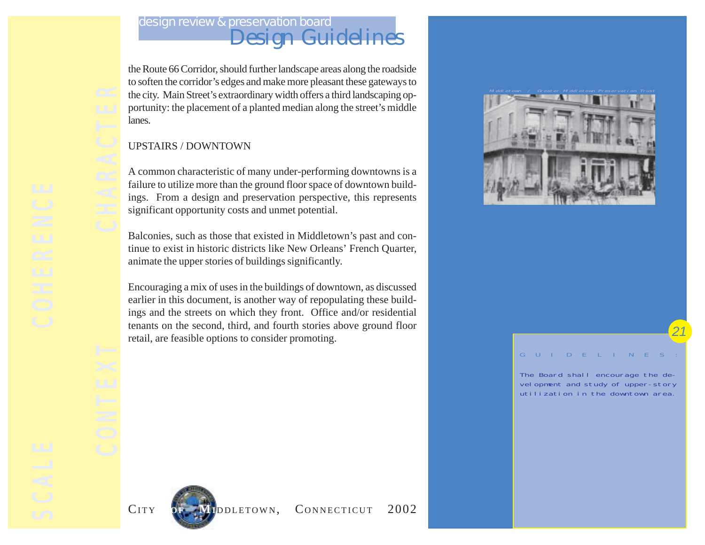the Route 66 Corridor, should further landscape areas along the roadside to soften the corridor's edges and make more pleasant these gateways to the city. Main Street's extraordinary width offers a third landscaping opportunity: the placement of a planted median along the street's middle lanes.

## UPSTAIRS / DOWNTOWN

A common characteristic of many under-performing downtowns is a failure to utilize more than the ground floor space of downtown buildings. From a design and preservation perspective, this represents significant opportunity costs and unmet potential.

Balconies, such as those that existed in Middletown's past and continue to exist in historic districts like New Orleans' French Quarter, animate the upper stories of buildings significantly.

Encouraging a mix of uses in the buildings of downtown, as discussed earlier in this document, is another way of repopulating these buildings and the streets on which they front. Office and/or residential tenants on the second, third, and fourth stories above ground floor retail, are feasible options to consider promoting.



## GUIDELINE

*21*

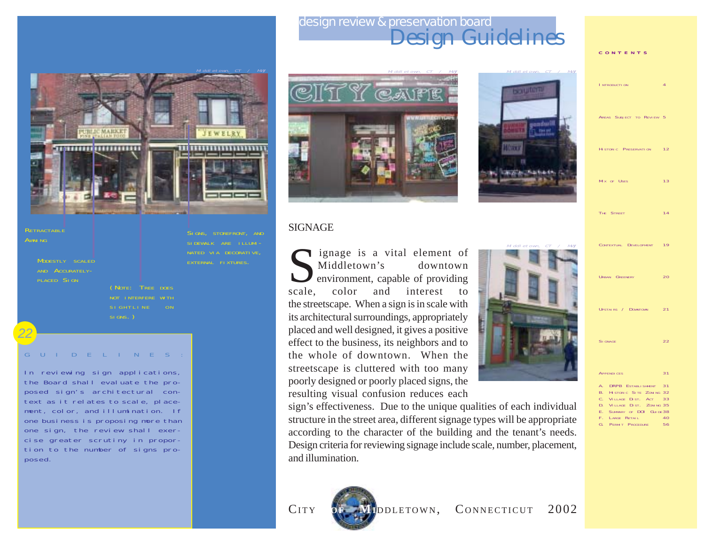



AREAS SUBJECT TO REVIEW 5

HISTORIC PRESERVATION 12

Mix of Uses 13

THE STREET 14

URBAN GREENERY 20

CONTEXTUAL DEVELOPMENT

INTRODUCTION



## **SIGNAGE**

SIGNS, STOREFRONT, AND SIDEWALK ARE ILLUMI-

EXTERNAL FIXTURES.

Solid is a vital element of Middletown's downtown<br>
environment, capable of providing scale, color and interest to the streetscape. When a sign is in scale with its architectural surroundings, appropriately placed and well designed, it gives a positive effect to the business, its neighbors and to the whole of downtown. When the streetscape is cluttered with too many poorly designed or poorly placed signs, the resulting visual confusion reduces each



**VALUE 7** 

UPSTAIRS / DOWNTOWN 21 SIGNAGE 22 **APPENDICES** 31 A. DRPB ESTABLISHMENT 31 B. HISTORIC SITE ZONING 32 C. VILLAGE DIST. ACT 33 D. VILLAGE DIST. ZONING 35 E. SUMMARY OF DOI GUIDE38 F. LARGE RETAIL 40 G. PERMIT PROCEDURE 56

#### RETRACTABLE AWNI<sub>NG</sub>

*22*

MODESTLY SCALED AND ACCURATELY-PLACED SIGN

(NOTE: TREE DOES NOT INTERFERE WITH SIGHTLINE ON SIGNS. )

#### IDELINES

In reviewing sign applications, the Board shall evaluate the proposed sign's architectural context as it relates to scale, placement, color, and illumination. If one business is proposing more than one sign, the review shall exercise greater scrutiny in proportion to the number of signs proposed.



and illumination.

CITY OF MIDDLETOWN, CONNECTICUT 2002

sign's effectiveness. Due to the unique qualities of each individual structure in the street area, different signage types will be appropriate according to the character of the building and the tenant's needs. Design criteria for reviewing signage include scale, number, placement,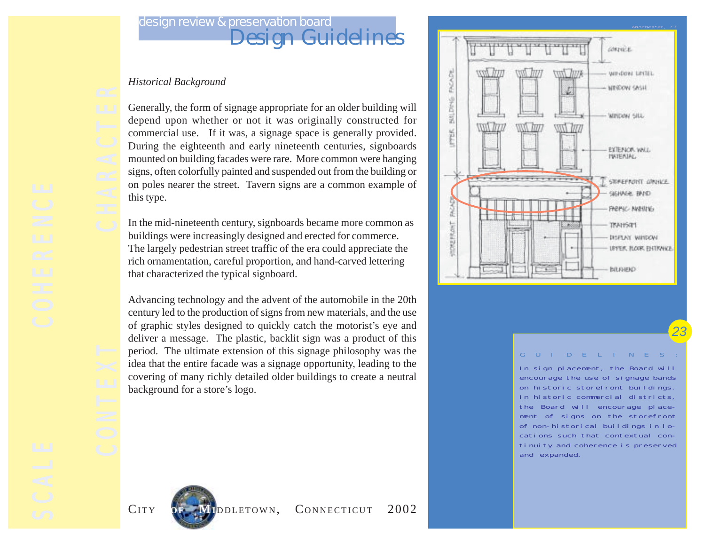

## GUIDELINE

*23*

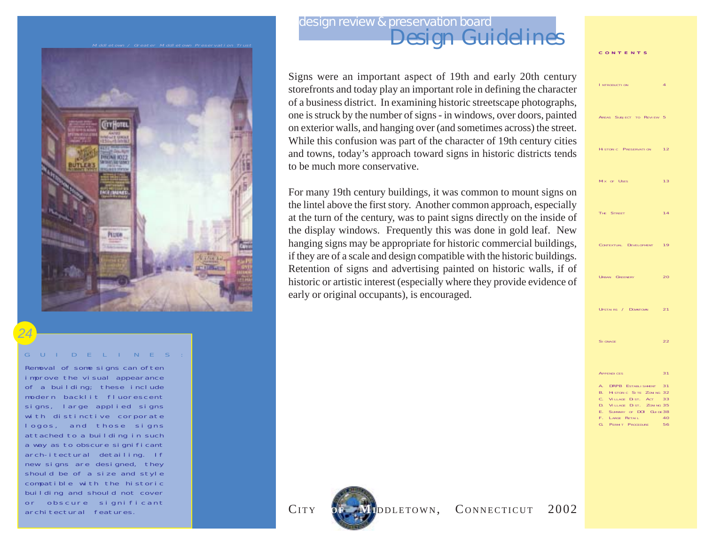

#### GUIDELINE

*24*

Removal of some signs can often improve the visual appearance of a building; these include modern backlit fluorescent signs, large applied signs with distinctive corporate logos, and those signs attached to a building in such a way as to obscure significant arch-itectural detailing. If new signs are designed, they should be of a size and style compatible with the historic building and should not cover or obscure significant architectural features.

## design review & preservation board *Design Guidelines*

Signs were an important aspect of 19th and early 20th century storefronts and today play an important role in defining the character of a business district. In examining historic streetscape photographs, one is struck by the number of signs - in windows, over doors, painted on exterior walls, and hanging over (and sometimes across) the street. While this confusion was part of the character of 19th century cities and towns, today's approach toward signs in historic districts tends to be much more conservative.

For many 19th century buildings, it was common to mount signs on the lintel above the first story. Another common approach, especially at the turn of the century, was to paint signs directly on the inside of the display windows. Frequently this was done in gold leaf. New hanging signs may be appropriate for historic commercial buildings, if they are of a scale and design compatible with the historic buildings. Retention of signs and advertising painted on historic walls, if of historic or artistic interest (especially where they provide evidence of early or original occupants), is encouraged.



C O N T E N T S

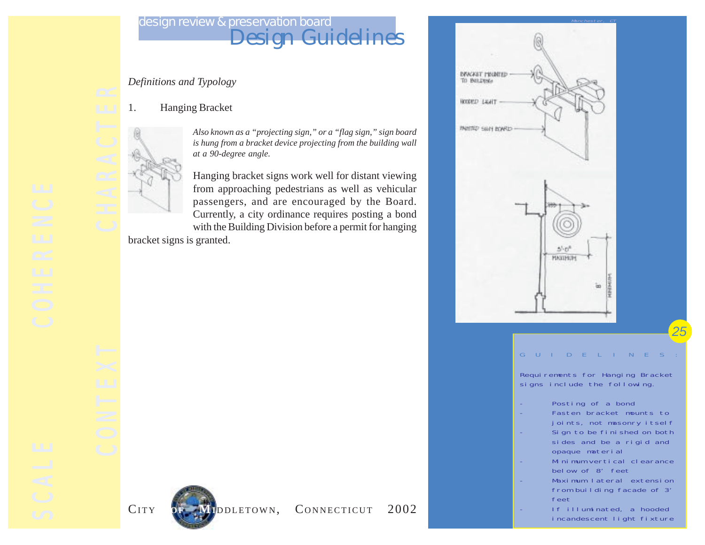

- 
- 

Manchester, CT

- 
- -Minimum vertical clearance below of 8' feet
- Maximum lateral extension from building facade of 3' feet

 If illuminated, a hooded incandescent light fixture



*25*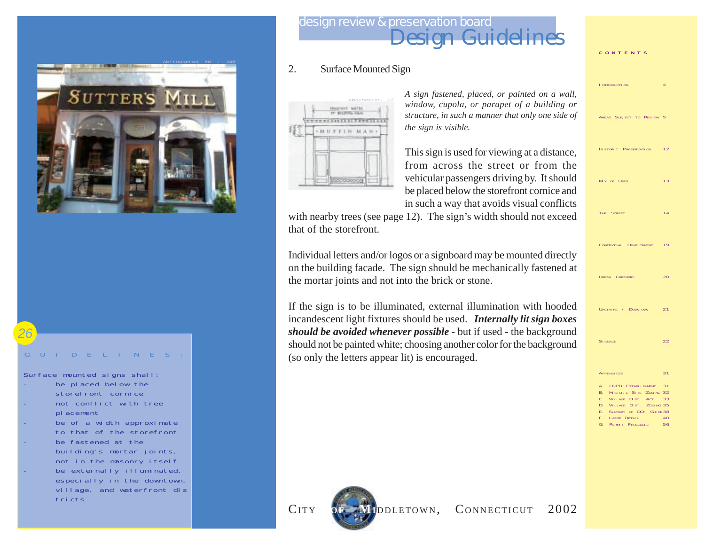

## GUIDELINES

Surface mounted signs shall:

*26*

- be placed below the storefront cornice
- not conflict with tree placement
- be of a width approximate to that of the storefront
- be fastened at the building's mortar joints, not in the masonry itself
- be externally illuminated, especially in the downtown, village, and waterfront dis tricts

# design review & preservation board *Design Guidelines*

## 2. Surface Mounted Sign



*A sign fastened, placed, or painted on a wall, window, cupola, or parapet of a building or structure, in such a manner that only one side of the sign is visible.*

This sign is used for viewing at a distance, from across the street or from the vehicular passengers driving by. It should be placed below the storefront cornice and in such a way that avoids visual conflicts

with nearby trees (see page 12). The sign's width should not exceed that of the storefront.

Individual letters and/or logos or a signboard may be mounted directly on the building facade. The sign should be mechanically fastened at the mortar joints and not into the brick or stone.

If the sign is to be illuminated, external illumination with hooded incandescent light fixtures should be used. *Internally lit sign boxes should be avoided whenever possible* - but if used - the background should not be painted white; choosing another color for the background (so only the letters appear lit) is encouraged.

| INTRODUCTION                                                                                                                                                                                                                          | $\overline{4}$       |
|---------------------------------------------------------------------------------------------------------------------------------------------------------------------------------------------------------------------------------------|----------------------|
| AREAS SUBJECT TO REVIEW 5                                                                                                                                                                                                             |                      |
| HISTORIC PRESERVATION                                                                                                                                                                                                                 | 12                   |
| MIX OF USES                                                                                                                                                                                                                           | 13                   |
| THE STREET                                                                                                                                                                                                                            | 14                   |
| CONTEXTUAL DEVELOPMENT                                                                                                                                                                                                                | 19                   |
| URBAN GREENERY                                                                                                                                                                                                                        | 20                   |
| UPSTAIRS / DOWNTOWN                                                                                                                                                                                                                   | $\overline{21}$      |
| <b>SI GNAGE</b>                                                                                                                                                                                                                       | $\overline{22}$      |
| <b>APPENDICES</b>                                                                                                                                                                                                                     | 31                   |
| DRPB ESTABLISHMENT 31<br>A.<br>HISTORIC SITE ZONING<br><b>B.</b><br>VILLAGE DIST. ACT<br>VILLAGE DIST. ZONING<br>Ċ.<br>VILLAGE DIST. ZONING 35<br>SUMMARY OF DOI GUIDE 38<br>D.<br>Е.<br>LARGE RETAIL<br>F.<br>PERMIT PROCEDURE<br>G. | 32<br>33<br>40<br>56 |

C O N T E N T S

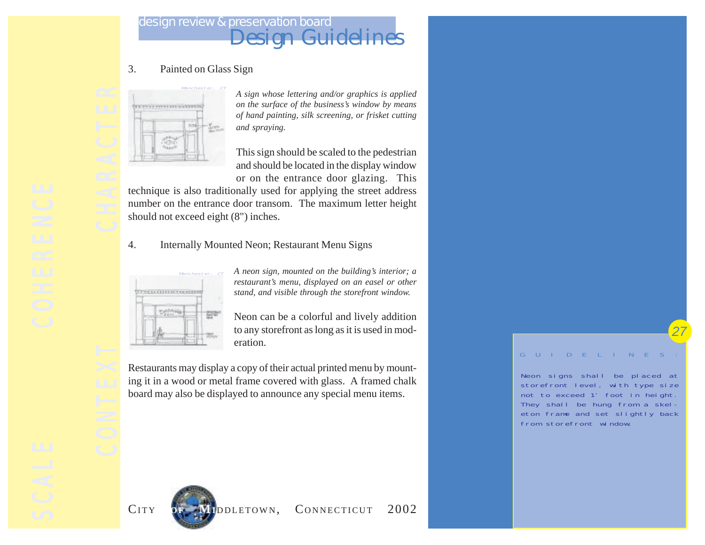## 3. Painted on Glass Sign



*A sign whose lettering and/or graphics is applied on the surface of the business's window by means of hand painting, silk screening, or frisket cutting and spraying.*

This sign should be scaled to the pedestrian and should be located in the display window or on the entrance door glazing. This

technique is also traditionally used for applying the street address number on the entrance door transom. The maximum letter height should not exceed eight (8") inches.

## 4. Internally Mounted Neon; Restaurant Menu Signs



*A neon sign, mounted on the building's interior; a restaurant's menu, displayed on an easel or other stand, and visible through the storefront window.*

Neon can be a colorful and lively addition to any storefront as long as it is used in moderation.

Restaurants may display a copy of their actual printed menu by mounting it in a wood or metal frame covered with glass. A framed chalk board may also be displayed to announce any special menu items.



## GUIDELINES

*27*

Neon signs shall be placed at storefront level, with type size not to exceed 1' foot in height. They shall be hung from a skeleton frame and set slightly back from storefront window.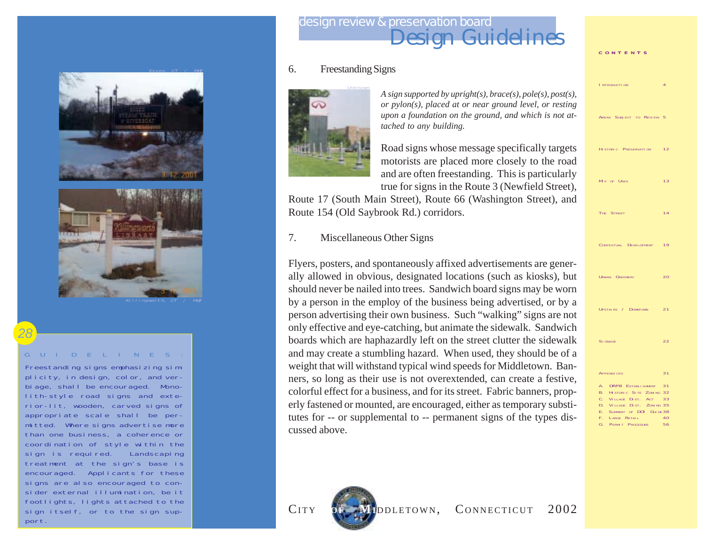

## GUIDELINE

*28*

Freestanding signs emphasizing simplicity, in design, color, and verbiage, shall be encouraged. Monolith-style road signs and exterior-lit, wooden, carved signs of appropriate scale shall be permitted. Where signs advertise more than one business, a coherence or coordination of style within the sign is required. Landscaping treatment at the sign's base is encouraged. Applicants for these signs are also encouraged to consider external illumination, be it footlights, lights attached to the sign itself, or to the sign support.

## design review & preservation board *Design Guidelines*

## 6. Freestanding Signs



*A sign supported by upright(s), brace(s), pole(s), post(s), or pylon(s), placed at or near ground level, or resting upon a foundation on the ground, and which is not attached to any building.*

Road signs whose message specifically targets motorists are placed more closely to the road and are often freestanding. This is particularly true for signs in the Route 3 (Newfield Street),

Route 17 (South Main Street), Route 66 (Washington Street), and Route 154 (Old Saybrook Rd.) corridors.

## 7. Miscellaneous Other Signs

Flyers, posters, and spontaneously affixed advertisements are generally allowed in obvious, designated locations (such as kiosks), but should never be nailed into trees. Sandwich board signs may be worn by a person in the employ of the business being advertised, or by a person advertising their own business. Such "walking" signs are not only effective and eye-catching, but animate the sidewalk. Sandwich boards which are haphazardly left on the street clutter the sidewalk and may create a stumbling hazard. When used, they should be of a weight that will withstand typical wind speeds for Middletown. Banners, so long as their use is not overextended, can create a festive, colorful effect for a business, and for its street. Fabric banners, properly fastened or mounted, are encouraged, either as temporary substitutes for -- or supplemental to -- permanent signs of the types discussed above.

# INTRODUCTION AREAS SUBJECT TO REVIEW 5 HISTORIC PRESERVATION 12 Mix of Uses 13 THE STREET 14 CONTEXTUAL DEVELOPMENT URBAN GREENERY 20 UPSTAIRS / DOWNTOWN 21 SIGNAGE 22 **APPENDICES** 31 DRPB ESTABLISHMENT 31 **HISTORIC SITE ZONING 32** VILLAGE DIST. ACT 33 D. VILLAGE DIST. ZONING 35 E. SUMMARY OF DOI GUIDE38 F. LARGE RETAIL 40 G. PERMIT PROCEDURE 56

C O N T E N T S

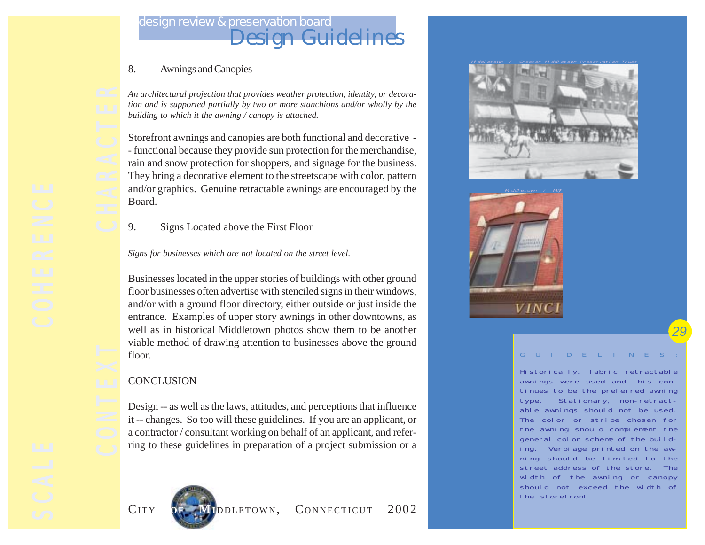## 8. Awnings and Canopies

*An architectural projection that provides weather protection, identity, or decoration and is supported partially by two or more stanchions and/or wholly by the building to which it the awning / canopy is attached.*

Storefront awnings and canopies are both functional and decorative - - functional because they provide sun protection for the merchandise, rain and snow protection for shoppers, and signage for the business. They bring a decorative element to the streetscape with color, pattern and/or graphics. Genuine retractable awnings are encouraged by the Board.

9. Signs Located above the First Floor

## *Signs for businesses which are not located on the street level.*

Businesses located in the upper stories of buildings with other ground floor businesses often advertise with stenciled signs in their windows, and/or with a ground floor directory, either outside or just inside the entrance. Examples of upper story awnings in other downtowns, as well as in historical Middletown photos show them to be another viable method of drawing attention to businesses above the ground floor.

## **CONCLUSION**

The project submission or a<br>
SCALE CITY OF MIDDLETOWN, CONNECTICUT 2002 Design -- as well as the laws, attitudes, and perceptions that influence it -- changes. So too will these guidelines. If you are an applicant, or a contractor / consultant working on behalf of an applicant, and referring to these guidelines in preparation of a project submission or a







## GUIDELINE

*29*

Historically, fabric retractable awnings were used and this continues to be the preferred awning type. Stationary, non-retractable awnings should not be used. The color or stripe chosen for the awning should complement the general color scheme of the building. Verbiage printed on the awning should be limited to the street address of the store. The width of the awning or canopy should not exceed the width of the storefront.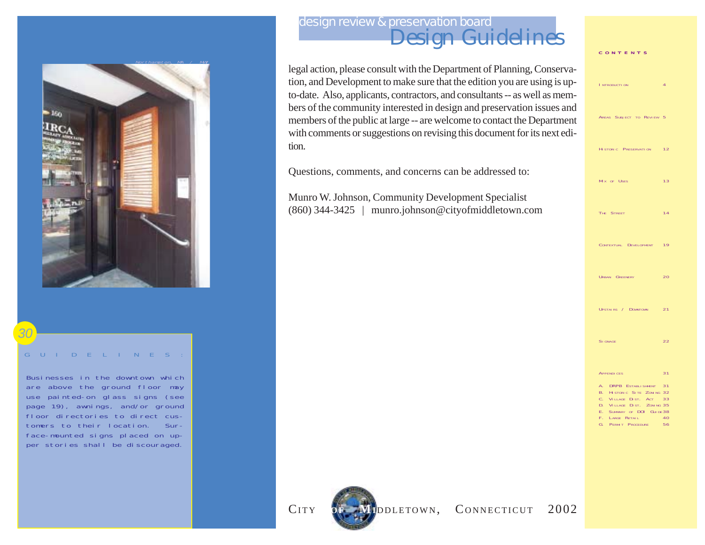

#### GUIDELINES:

*30*

Businesses in the downtown which are above the ground floor may use painted-on glass signs (see page 19), awnings, and/or ground floor directories to direct customers to their location. Surface-mounted signs placed on upper stories shall be discouraged.

## design review & preservation board *Design Guidelines*

C O N T E N T S INTRODUCTION AREAS SUBJECT TO REVIEW 5 HISTORIC PRESERVATION 12 Mix of Uses 13 THE STREET 14 CONTEXTUAL DEVELOPMENT 19 URBAN GREENERY 20 UPSTAIRS / DOWNTOWN 21 SIGNAGE 22 APPENDICES 31 A. DRPB ESTABLISHMENT 31 B. HISTORIC SITE ZONING 32 C. VILLAGE DIST. ACT 33 D. VILLAGE DIST. ZONING 35 E. SUMMARY OF DOI GUIDE38 legal action, please consult with the Department of Planning, Conservation, and Development to make sure that the edition you are using is upto-date. Also, applicants, contractors, and consultants -- as well as members of the community interested in design and preservation issues and members of the public at large -- are welcome to contact the Department with comments or suggestions on revising this document for its next edi-Questions, comments, and concerns can be addressed to: Munro W. Johnson, Community Development Specialist (860) 344-3425 | munro.johnson@cityofmiddletown.com

tion.

CITY OF MIDDLETOWN, CONNECTICUT 2002

F. LARGE RETAIL 40 G. PERMIT PROCEDURE 56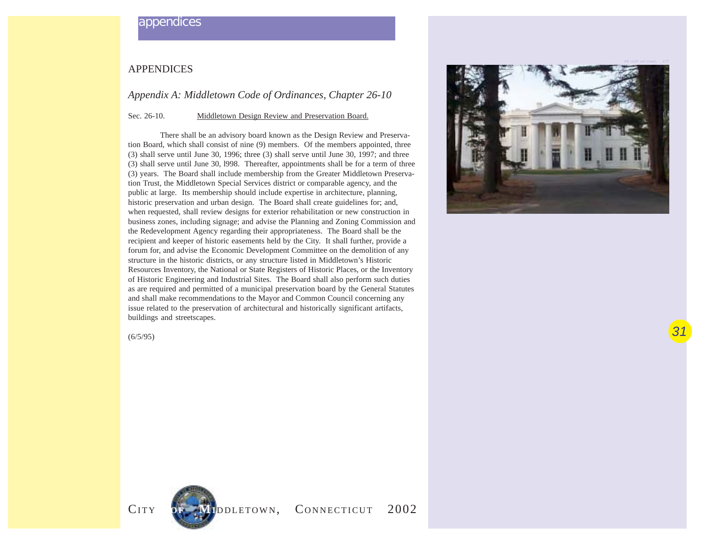## APPENDICES

## *Appendix A: Middletown Code of Ordinances, Chapter 26-10*

#### Sec. 26-10. Middletown Design Review and Preservation Board.

There shall be an advisory board known as the Design Review and Preservation Board, which shall consist of nine (9) members. Of the members appointed, three (3) shall serve until June 30, 1996; three (3) shall serve until June 30, 1997; and three (3) shall serve until June 30, l998. Thereafter, appointments shall be for a term of three (3) years. The Board shall include membership from the Greater Middletown Preservation Trust, the Middletown Special Services district or comparable agency, and the public at large. Its membership should include expertise in architecture, planning, historic preservation and urban design. The Board shall create guidelines for; and, when requested, shall review designs for exterior rehabilitation or new construction in business zones, including signage; and advise the Planning and Zoning Commission and the Redevelopment Agency regarding their appropriateness. The Board shall be the recipient and keeper of historic easements held by the City. It shall further, provide a forum for, and advise the Economic Development Committee on the demolition of any structure in the historic districts, or any structure listed in Middletown's Historic Resources Inventory, the National or State Registers of Historic Places, or the Inventory of Historic Engineering and Industrial Sites. The Board shall also perform such duties as are required and permitted of a municipal preservation board by the General Statutes and shall make recommendations to the Mayor and Common Council concerning any issue related to the preservation of architectural and historically significant artifacts, buildings and streetscapes.



(6/5/95)

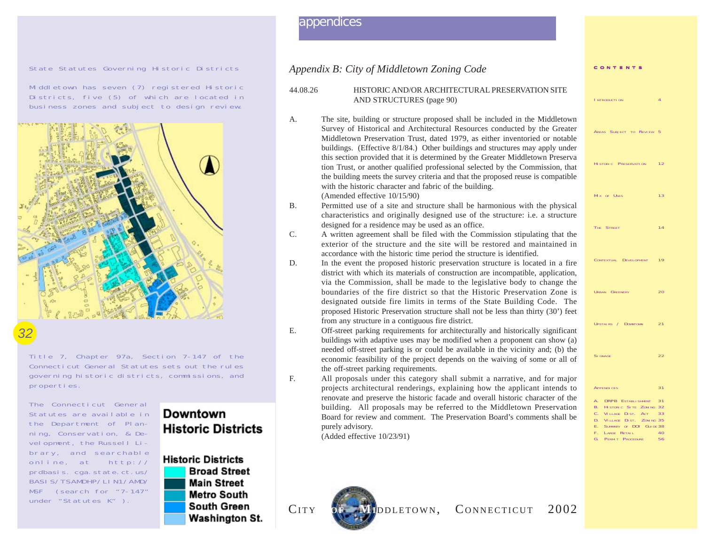State Statutes Governing Historic Districts

Middletown has seven (7) registered Historic Districts, five (5) of which are located in business zones and subject to design review.



Title 7, Chapter 97a, Section 7-147 of the Connecticut General Statutes sets out the rules governing historic districts, commissions, and properties.

The Connecticut General Statutes are available in the Department of Planning, Conservation, & Development, the Russell Library, and searchable online, at http:// prdbasis. cga.state.ct.us/ BASIS/TSAMDHP/LIN1/AMD/ MSF (search for "7-147" under "Statutes K" ).

## Downtown **Historic Districts**

**Historic Districts Broad Street Main Street Metro South** South Green **Washington St.** 

## appendices

|           | Appendix B: City of Middletown Zoning Code                                                                                                                                                                                                                                                                                            | CONTENTS                                                                                                                                                                        |                |
|-----------|---------------------------------------------------------------------------------------------------------------------------------------------------------------------------------------------------------------------------------------------------------------------------------------------------------------------------------------|---------------------------------------------------------------------------------------------------------------------------------------------------------------------------------|----------------|
| 44.08.26  | HISTORIC AND/OR ARCHITECTURAL PRESERVATION SITE<br>AND STRUCTURES (page 90)                                                                                                                                                                                                                                                           | I NTRODUCTION                                                                                                                                                                   | $\overline{4}$ |
| А.        | The site, building or structure proposed shall be included in the Middletown<br>Survey of Historical and Architectural Resources conducted by the Greater<br>Middletown Preservation Trust, dated 1979, as either inventoried or notable                                                                                              | AREAS SUBJECT TO REVIEW 5                                                                                                                                                       |                |
|           | buildings. (Effective 8/1/84.) Other buildings and structures may apply under<br>this section provided that it is determined by the Greater Middletown Preserva<br>tion Trust, or another qualified professional selected by the Commission, that<br>the building meets the survey criteria and that the proposed reuse is compatible | HISTORIC PRESERVATION                                                                                                                                                           | 12             |
|           | with the historic character and fabric of the building.<br>(Amended effective 10/15/90)                                                                                                                                                                                                                                               | MIX OF USES                                                                                                                                                                     | 13             |
| <b>B.</b> | Permitted use of a site and structure shall be harmonious with the physical                                                                                                                                                                                                                                                           |                                                                                                                                                                                 |                |
| C.        | characteristics and originally designed use of the structure: i.e. a structure<br>designed for a residence may be used as an office.<br>A written agreement shall be filed with the Commission stipulating that the                                                                                                                   | THE STREET                                                                                                                                                                      | 14             |
| D.        | exterior of the structure and the site will be restored and maintained in<br>accordance with the historic time period the structure is identified.<br>In the event the proposed historic preservation structure is located in a fire                                                                                                  | CONTEXTUAL DEVELOPMENT                                                                                                                                                          | 19             |
|           | district with which its materials of construction are incompatible, application,<br>via the Commission, shall be made to the legislative body to change the<br>boundaries of the fire district so that the Historic Preservation Zone is<br>designated outside fire limits in terms of the State Building Code. The                   | URBAN GREENERY                                                                                                                                                                  | 20             |
| Ε.        | proposed Historic Preservation structure shall not be less than thirty (30') feet<br>from any structure in a contiguous fire district.<br>Off-street parking requirements for architecturally and historically significant                                                                                                            | UPSTALRS / DOWNTOWN                                                                                                                                                             | 21             |
|           | buildings with adaptive uses may be modified when a proponent can show (a)<br>needed off-street parking is or could be available in the vicinity and; (b) the<br>economic feasibility of the project depends on the waiving of some or all of                                                                                         | <b>SI GNAGE</b>                                                                                                                                                                 | 22             |
| F.        | the off-street parking requirements.<br>All proposals under this category shall submit a narrative, and for major                                                                                                                                                                                                                     |                                                                                                                                                                                 |                |
|           | projects architectural renderings, explaining how the applicant intends to<br>renovate and preserve the historic facade and overall historic character of the                                                                                                                                                                         | <b>APPENDICES</b><br>A. DRPB ESTABLI SHMENT                                                                                                                                     | 31<br>31       |
|           | building. All proposals may be referred to the Middletown Preservation<br>Board for review and comment. The Preservation Board's comments shall be<br>purely advisory.<br>(Added effective 10/23/91)                                                                                                                                  | B. HISTORIC SITE ZONING 32<br>VILLAGE DIST. ACT<br>$C_{\alpha}$<br>D. VILLAGE DIST. ZONING 35<br>E.,<br>SUMMARY OF DOI GUIDE 38<br>F.<br>LARGE RETAIL<br>G.<br>PERMIT PROCEDURE | 33<br>40<br>56 |
|           |                                                                                                                                                                                                                                                                                                                                       |                                                                                                                                                                                 |                |
| CITY      | 2002<br>CONNECTICUT<br>DDLETOWN,                                                                                                                                                                                                                                                                                                      |                                                                                                                                                                                 |                |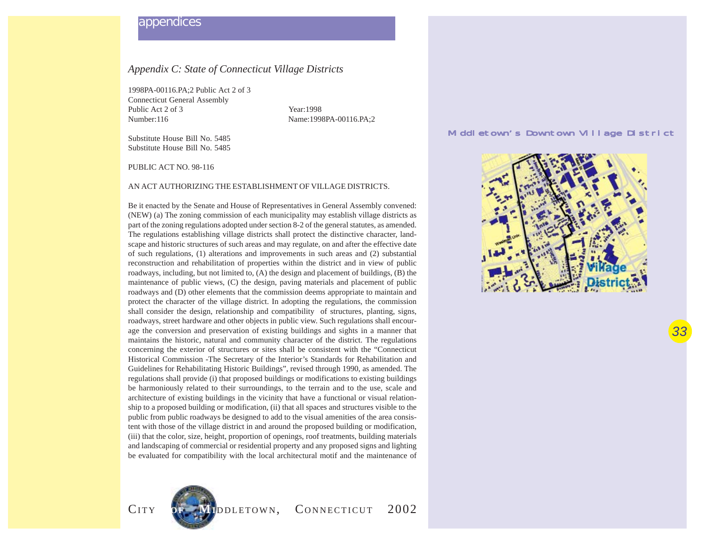## *Appendix C: State of Connecticut Village Districts*

1998PA-00116.PA;2 Public Act 2 of 3 Connecticut General Assembly Public Act 2 of 3 Year:1998 Number:116 Name:1998PA-00116.PA;2

Substitute House Bill No. 5485 Substitute House Bill No. 5485

PUBLIC ACT NO. 98-116

#### AN ACT AUTHORIZING THE ESTABLISHMENT OF VILLAGE DISTRICTS.

Be it enacted by the Senate and House of Representatives in General Assembly convened: (NEW) (a) The zoning commission of each municipality may establish village districts as part of the zoning regulations adopted under section 8-2 of the general statutes, as amended. The regulations establishing village districts shall protect the distinctive character, landscape and historic structures of such areas and may regulate, on and after the effective date of such regulations, (1) alterations and improvements in such areas and (2) substantial reconstruction and rehabilitation of properties within the district and in view of public roadways, including, but not limited to, (A) the design and placement of buildings, (B) the maintenance of public views, (C) the design, paving materials and placement of public roadways and (D) other elements that the commission deems appropriate to maintain and protect the character of the village district. In adopting the regulations, the commission shall consider the design, relationship and compatibility of structures, planting, signs, roadways, street hardware and other objects in public view. Such regulations shall encourage the conversion and preservation of existing buildings and sights in a manner that maintains the historic, natural and community character of the district. The regulations concerning the exterior of structures or sites shall be consistent with the "Connecticut Historical Commission -The Secretary of the Interior's Standards for Rehabilitation and Guidelines for Rehabilitating Historic Buildings", revised through 1990, as amended. The regulations shall provide (i) that proposed buildings or modifications to existing buildings be harmoniously related to their surroundings, to the terrain and to the use, scale and architecture of existing buildings in the vicinity that have a functional or visual relationship to a proposed building or modification, (ii) that all spaces and structures visible to the public from public roadways be designed to add to the visual amenities of the area consistent with those of the village district in and around the proposed building or modification, (iii) that the color, size, height, proportion of openings, roof treatments, building materials and landscaping of commercial or residential property and any proposed signs and lighting be evaluated for compatibility with the local architectural motif and the maintenance of



CITY OF MIDDLETOWN, CONNECTICUT 2002

## Middletown's Downtown Village District

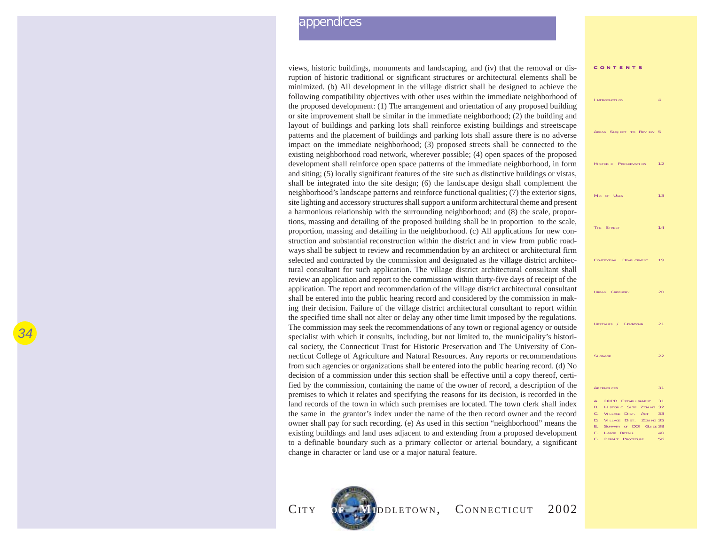| views, historic buildings, monuments and landscaping, and (iv) that the removal or dis-           |
|---------------------------------------------------------------------------------------------------|
| ruption of historic traditional or significant structures or architectural elements shall be      |
| minimized. (b) All development in the village district shall be designed to achieve the           |
| following compatibility objectives with other uses within the immediate neighborhood of           |
| the proposed development: (1) The arrangement and orientation of any proposed building            |
| or site improvement shall be similar in the immediate neighborhood; (2) the building and          |
| layout of buildings and parking lots shall reinforce existing buildings and streetscape           |
| patterns and the placement of buildings and parking lots shall assure there is no adverse         |
| impact on the immediate neighborhood; (3) proposed streets shall be connected to the              |
| existing neighborhood road network, wherever possible; (4) open spaces of the proposed            |
| development shall reinforce open space patterns of the immediate neighborhood, in form            |
| and siting; (5) locally significant features of the site such as distinctive buildings or vistas, |
| shall be integrated into the site design; (6) the landscape design shall complement the           |
| neighborhood's landscape patterns and reinforce functional qualities; (7) the exterior signs,     |
| site lighting and accessory structures shall support a uniform architectural theme and present    |
| a harmonious relationship with the surrounding neighborhood; and (8) the scale, propor-           |
| tions, massing and detailing of the proposed building shall be in proportion to the scale,        |
| proportion, massing and detailing in the neighborhood. (c) All applications for new con-          |
| struction and substantial reconstruction within the district and in view from public road-        |
| ways shall be subject to review and recommendation by an architect or architectural firm          |
| selected and contracted by the commission and designated as the village district architec-        |
| tural consultant for such application. The village district architectural consultant shall        |
| review an application and report to the commission within thirty-five days of receipt of the      |
| application. The report and recommendation of the village district architectural consultant       |
| shall be entered into the public hearing record and considered by the commission in mak-          |
| ing their decision. Failure of the village district architectural consultant to report within     |
| the specified time shall not alter or delay any other time limit imposed by the regulations.      |
| The commission may seek the recommendations of any town or regional agency or outside             |
| specialist with which it consults, including, but not limited to, the municipality's histori-     |
|                                                                                                   |
| cal society, the Connecticut Trust for Historic Preservation and The University of Con-           |
| necticut College of Agriculture and Natural Resources. Any reports or recommendations             |
| from such agencies or organizations shall be entered into the public hearing record. (d) No       |
| decision of a commission under this section shall be effective until a copy thereof, certi-       |
| fied by the commission, containing the name of the owner of record, a description of the          |
| premises to which it relates and specifying the reasons for its decision, is recorded in the      |
| land records of the town in which such premises are located. The town clerk shall index           |
| the same in the grantor's index under the name of the then record owner and the record            |
| owner shall pay for such recording. (e) As used in this section "neighborhood" means the          |
| existing buildings and land uses adjacent to and extending from a proposed development            |
| to a definable boundary such as a primary collector or arterial boundary, a significant           |
| change in character or land use or a major natural feature.                                       |

C O N T E N T S

| I NTRODUCTION                                                                                                                                                                                                                                  | $\overline{4}$ |
|------------------------------------------------------------------------------------------------------------------------------------------------------------------------------------------------------------------------------------------------|----------------|
| AREAS SUBJECT TO REVIEW 5                                                                                                                                                                                                                      |                |
| HISTORIC PRESERVATION                                                                                                                                                                                                                          | 12             |
| MIX OF USES                                                                                                                                                                                                                                    | 13             |
| THE STREET                                                                                                                                                                                                                                     | 14             |
| CONTEXTUAL DEVELOPMENT                                                                                                                                                                                                                         | 19             |
| URBAN GREENERY                                                                                                                                                                                                                                 | 20             |
| UPSTAIRS / DOWNTOWN                                                                                                                                                                                                                            | 21             |
| SI GNAGE                                                                                                                                                                                                                                       | 22             |
| <b>APPENDICES</b>                                                                                                                                                                                                                              | 31             |
| <b>DRPB ESTABLISHMENT 31</b><br>HISTORIC SITE ZONING 32<br>VILLAGE DIST, ACT 33<br>VILLAGE DIST, ZONING 35<br>SUMMARY OF DOI GUIDE 38<br>SUMMARY OF DOI GUIDE 38<br>A.<br>В.<br>Ċ.<br>D.<br>Ė.<br>Ė.<br>LARGE RETAIL<br>PERMIT PROCEDURE<br>G. | 40<br>56       |

CITY OF MIDDLETOWN, CONNECTICUT 2002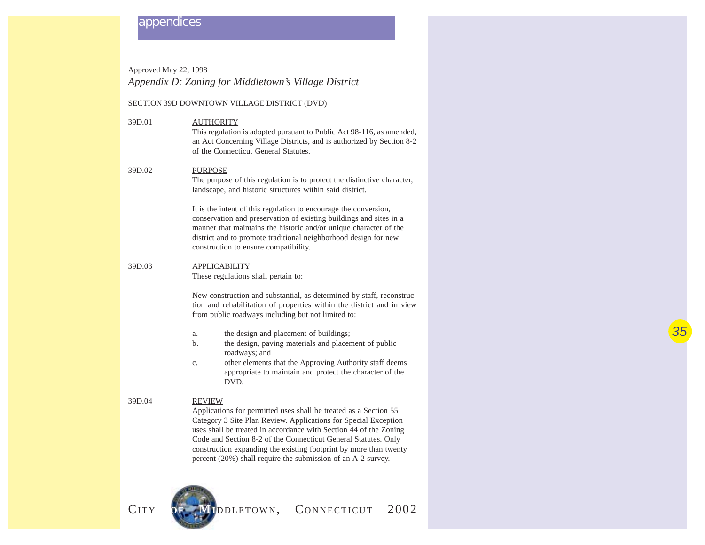## Approved May 22, 1998

*Appendix D: Zoning for Middletown's Village District*

#### SECTION 39D DOWNTOWN VILLAGE DISTRICT (DVD)

| 39D.01 | <b>AUTHORITY</b><br>This regulation is adopted pursuant to Public Act 98-116, as amended,<br>an Act Concerning Village Districts, and is authorized by Section 8-2<br>of the Connecticut General Statutes.                                                                                                                                                                                                                       |
|--------|----------------------------------------------------------------------------------------------------------------------------------------------------------------------------------------------------------------------------------------------------------------------------------------------------------------------------------------------------------------------------------------------------------------------------------|
| 39D.02 | <b>PURPOSE</b><br>The purpose of this regulation is to protect the distinctive character,<br>landscape, and historic structures within said district.                                                                                                                                                                                                                                                                            |
|        | It is the intent of this regulation to encourage the conversion,<br>conservation and preservation of existing buildings and sites in a<br>manner that maintains the historic and/or unique character of the<br>district and to promote traditional neighborhood design for new<br>construction to ensure compatibility.                                                                                                          |
| 39D.03 | <b>APPLICABILITY</b><br>These regulations shall pertain to:                                                                                                                                                                                                                                                                                                                                                                      |
|        | New construction and substantial, as determined by staff, reconstruc-<br>tion and rehabilitation of properties within the district and in view<br>from public roadways including but not limited to:                                                                                                                                                                                                                             |
|        | the design and placement of buildings;<br>a.<br>the design, paving materials and placement of public<br>b.<br>roadways; and<br>other elements that the Approving Authority staff deems<br>c.<br>appropriate to maintain and protect the character of the<br>DVD.                                                                                                                                                                 |
| 39D.04 | <b>REVIEW</b><br>Applications for permitted uses shall be treated as a Section 55<br>Category 3 Site Plan Review. Applications for Special Exception<br>uses shall be treated in accordance with Section 44 of the Zoning<br>Code and Section 8-2 of the Connecticut General Statutes. Only<br>construction expanding the existing footprint by more than twenty<br>percent (20%) shall require the submission of an A-2 survey. |
|        |                                                                                                                                                                                                                                                                                                                                                                                                                                  |

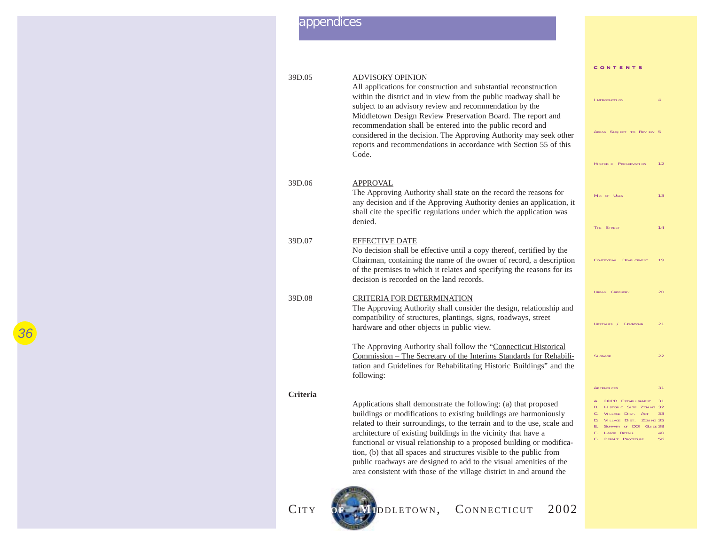| 39D.05   | <b>ADVISORY OPINION</b>                                                                                                                                                                                                                                                                                                                                                                                                                                                                                                                                                         | CONTENTS                                                                                                                                                                                           |                      |
|----------|---------------------------------------------------------------------------------------------------------------------------------------------------------------------------------------------------------------------------------------------------------------------------------------------------------------------------------------------------------------------------------------------------------------------------------------------------------------------------------------------------------------------------------------------------------------------------------|----------------------------------------------------------------------------------------------------------------------------------------------------------------------------------------------------|----------------------|
|          | All applications for construction and substantial reconstruction<br>within the district and in view from the public roadway shall be<br>subject to an advisory review and recommendation by the<br>Middletown Design Review Preservation Board. The report and                                                                                                                                                                                                                                                                                                                  | I NTRODUCTION                                                                                                                                                                                      | $\overline{4}$       |
|          | recommendation shall be entered into the public record and<br>considered in the decision. The Approving Authority may seek other<br>reports and recommendations in accordance with Section 55 of this<br>Code.                                                                                                                                                                                                                                                                                                                                                                  | AREAS SUBJECT TO REVIEW 5                                                                                                                                                                          |                      |
|          |                                                                                                                                                                                                                                                                                                                                                                                                                                                                                                                                                                                 | HISTORIC PRESERVATION                                                                                                                                                                              | 12                   |
| 39D.06   | <b>APPROVAL</b><br>The Approving Authority shall state on the record the reasons for<br>any decision and if the Approving Authority denies an application, it<br>shall cite the specific regulations under which the application was                                                                                                                                                                                                                                                                                                                                            | MIX OF USES                                                                                                                                                                                        | 13                   |
|          | denied.                                                                                                                                                                                                                                                                                                                                                                                                                                                                                                                                                                         | THE STREET                                                                                                                                                                                         | 14                   |
| 39D.07   | <b>EFFECTIVE DATE</b><br>No decision shall be effective until a copy thereof, certified by the<br>Chairman, containing the name of the owner of record, a description<br>of the premises to which it relates and specifying the reasons for its<br>decision is recorded on the land records.                                                                                                                                                                                                                                                                                    | CONTEXTUAL DEVELOPMENT                                                                                                                                                                             | 19                   |
| 39D.08   | <b>CRITERIA FOR DETERMINATION</b>                                                                                                                                                                                                                                                                                                                                                                                                                                                                                                                                               | URBAN GREENERY                                                                                                                                                                                     | 20                   |
|          | The Approving Authority shall consider the design, relationship and<br>compatibility of structures, plantings, signs, roadways, street<br>hardware and other objects in public view.                                                                                                                                                                                                                                                                                                                                                                                            | UPSTALRS / DOWNTOWN                                                                                                                                                                                | 21                   |
|          | The Approving Authority shall follow the "Connecticut Historical<br>Commission – The Secretary of the Interims Standards for Rehabili-<br>tation and Guidelines for Rehabilitating Historic Buildings" and the<br>following:                                                                                                                                                                                                                                                                                                                                                    | <b>SI GNAGE</b>                                                                                                                                                                                    | 22                   |
| Criteria |                                                                                                                                                                                                                                                                                                                                                                                                                                                                                                                                                                                 | <b>APPENDICES</b>                                                                                                                                                                                  | 31                   |
|          | Applications shall demonstrate the following: (a) that proposed<br>buildings or modifications to existing buildings are harmoniously<br>related to their surroundings, to the terrain and to the use, scale and<br>architecture of existing buildings in the vicinity that have a<br>functional or visual relationship to a proposed building or modifica-<br>tion, (b) that all spaces and structures visible to the public from<br>public roadways are designed to add to the visual amenities of the<br>area consistent with those of the village district in and around the | A. DRPB ESTABLI SHMENT<br>B. HISTORIC SITE ZONING 32<br>VILLAGE DIST. ACT<br>C.<br>VILLAGE DIST. ZONING 35<br>D.<br>SUMMARY OF DOI GUIDE 38<br>F.<br>F. LARGE RETAIL<br><b>G.</b> PERMIT PROCEDURE | 31<br>33<br>40<br>56 |
|          |                                                                                                                                                                                                                                                                                                                                                                                                                                                                                                                                                                                 |                                                                                                                                                                                                    |                      |
|          |                                                                                                                                                                                                                                                                                                                                                                                                                                                                                                                                                                                 |                                                                                                                                                                                                    |                      |

*36*

CITY OF MIDDLETOWN, CONNECTICUT 2002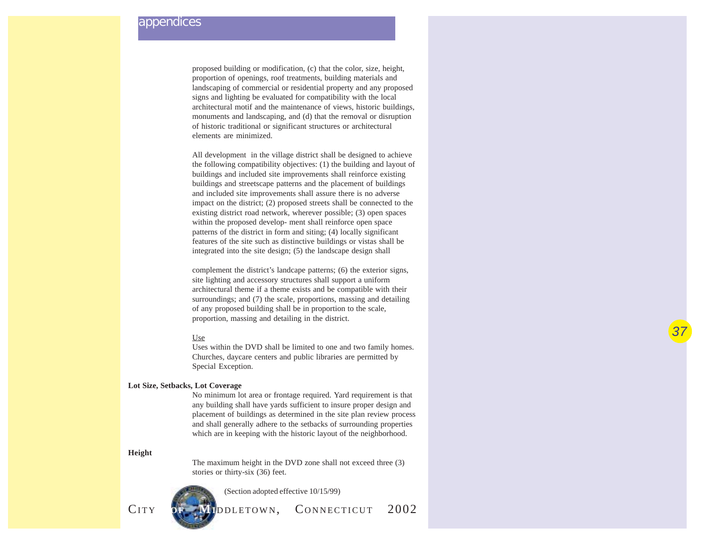proposed building or modification, (c) that the color, size, height, proportion of openings, roof treatments, building materials and landscaping of commercial or residential property and any proposed signs and lighting be evaluated for compatibility with the local architectural motif and the maintenance of views, historic buildings, monuments and landscaping, and (d) that the removal or disruption of historic traditional or significant structures or architectural elements are minimized.

All development in the village district shall be designed to achieve the following compatibility objectives: (1) the building and layout of buildings and included site improvements shall reinforce existing buildings and streetscape patterns and the placement of buildings and included site improvements shall assure there is no adverse impact on the district; (2) proposed streets shall be connected to the existing district road network, wherever possible; (3) open spaces within the proposed develop- ment shall reinforce open space patterns of the district in form and siting; (4) locally significant features of the site such as distinctive buildings or vistas shall be integrated into the site design; (5) the landscape design shall

complement the district's landcape patterns; (6) the exterior signs, site lighting and accessory structures shall support a uniform architectural theme if a theme exists and be compatible with their surroundings; and (7) the scale, proportions, massing and detailing of any proposed building shall be in proportion to the scale, proportion, massing and detailing in the district.

#### Use

Uses within the DVD shall be limited to one and two family homes. Churches, daycare centers and public libraries are permitted by Special Exception.

#### **Lot Size, Setbacks, Lot Coverage**

No minimum lot area or frontage required. Yard requirement is that any building shall have yards sufficient to insure proper design and placement of buildings as determined in the site plan review process and shall generally adhere to the setbacks of surrounding properties which are in keeping with the historic layout of the neighborhood.

#### **Height**

The maximum height in the DVD zone shall not exceed three (3) stories or thirty-six (36) feet.

(Section adopted effective 10/15/99)



CITY OF MIDDLETOWN, CONNECTICUT 2002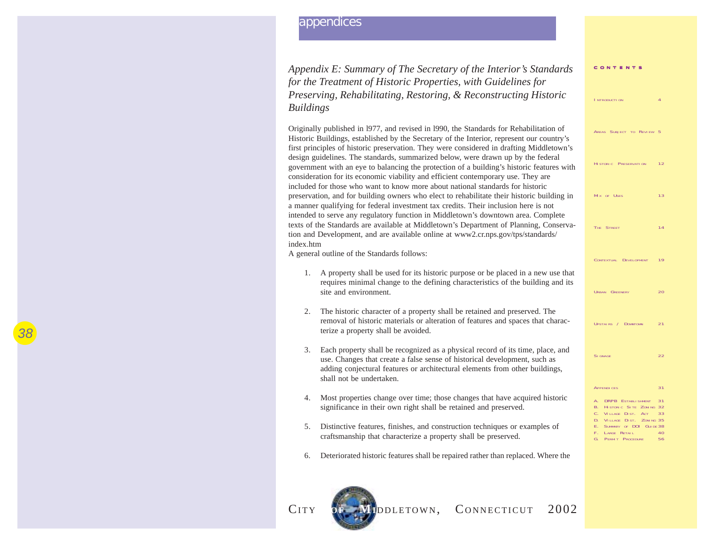| Appendix E: Summary of The Secretary of the Interior's Standards<br>for the Treatment of Historic Properties, with Guidelines for<br>Preserving, Rehabilitating, Restoring, & Reconstructing Historic<br><b>Buildings</b>                                                                                                                                           | CONTENTS<br>I NTRODUCTION                                                                              | $\overline{4}$ |
|---------------------------------------------------------------------------------------------------------------------------------------------------------------------------------------------------------------------------------------------------------------------------------------------------------------------------------------------------------------------|--------------------------------------------------------------------------------------------------------|----------------|
| Originally published in 1977, and revised in 1990, the Standards for Rehabilitation of<br>Historic Buildings, established by the Secretary of the Interior, represent our country's<br>first principles of historic preservation. They were considered in drafting Middletown's<br>design guidelines. The standards, summarized below, were drawn up by the federal | AREAS SUBJECT TO REVIEW 5                                                                              |                |
| government with an eye to balancing the protection of a building's historic features with<br>consideration for its economic viability and efficient contemporary use. They are<br>included for those who want to know more about national standards for historic                                                                                                    | HISTORIC PRESERVATION                                                                                  | 12             |
| preservation, and for building owners who elect to rehabilitate their historic building in<br>a manner qualifying for federal investment tax credits. Their inclusion here is not<br>intended to serve any regulatory function in Middletown's downtown area. Complete<br>texts of the Standards are available at Middletown's Department of Planning, Conserva-    | MIX OF USES<br>THE STREET                                                                              | 13<br>14       |
| tion and Development, and are available online at www2.cr.nps.gov/tps/standards/<br>index.htm<br>A general outline of the Standards follows:                                                                                                                                                                                                                        | CONTEXTUAL DEVELOPMENT                                                                                 | 19             |
| A property shall be used for its historic purpose or be placed in a new use that<br>1.<br>requires minimal change to the defining characteristics of the building and its<br>site and environment.                                                                                                                                                                  | URBAN GREENERY                                                                                         | 20             |
| The historic character of a property shall be retained and preserved. The<br>2.<br>removal of historic materials or alteration of features and spaces that charac-<br>terize a property shall be avoided.                                                                                                                                                           | UPSTALRS / DOWNTOWN                                                                                    | 21             |
| 3.<br>Each property shall be recognized as a physical record of its time, place, and<br>use. Changes that create a false sense of historical development, such as<br>adding conjectural features or architectural elements from other buildings,<br>shall not be undertaken.                                                                                        | <b>SI GNAGE</b>                                                                                        | 22             |
| 4.<br>Most properties change over time; those changes that have acquired historic                                                                                                                                                                                                                                                                                   | <b>APPENDICES</b>                                                                                      | 31<br>31       |
| significance in their own right shall be retained and preserved.                                                                                                                                                                                                                                                                                                    | A. DRPB ESTABLI SHMENT<br>B. HISTORIC SITE ZONING 32<br>C. VILLAGE DIST. ACT                           | 33             |
| 5.<br>Distinctive features, finishes, and construction techniques or examples of<br>craftsmanship that characterize a property shall be preserved.                                                                                                                                                                                                                  | D. VILLAGE DIST. ZONING 35<br>SUMMARY OF DOI GUIDE 38<br>F. LARGE RETAIL<br><b>G.</b> PERMIT PROCEDURE | 40<br>56       |
| Deteriorated historic features shall be repaired rather than replaced. Where the<br>6.                                                                                                                                                                                                                                                                              |                                                                                                        |                |
|                                                                                                                                                                                                                                                                                                                                                                     |                                                                                                        |                |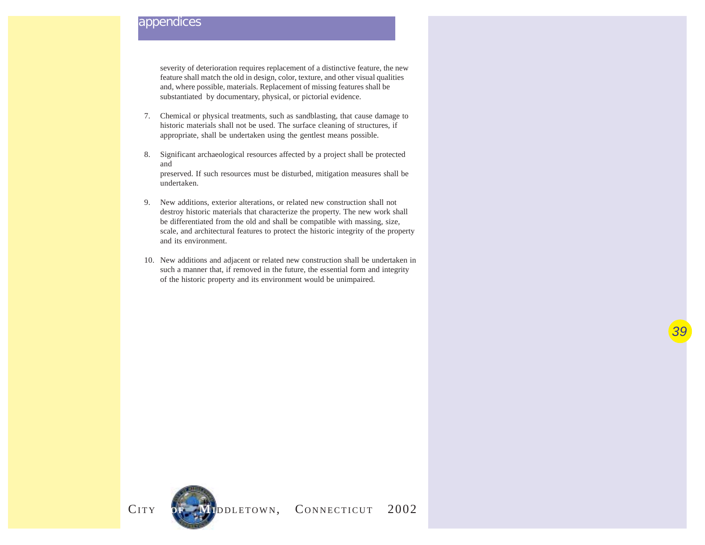severity of deterioration requires replacement of a distinctive feature, the new feature shall match the old in design, color, texture, and other visual qualities and, where possible, materials. Replacement of missing features shall be substantiated by documentary, physical, or pictorial evidence.

- 7. Chemical or physical treatments, such as sandblasting, that cause damage to historic materials shall not be used. The surface cleaning of structures, if appropriate, shall be undertaken using the gentlest means possible.
- 8. Significant archaeological resources affected by a project shall be protected and preserved. If such resources must be disturbed, mitigation measures shall be undertaken.
- 9. New additions, exterior alterations, or related new construction shall not destroy historic materials that characterize the property. The new work shall be differentiated from the old and shall be compatible with massing, size, scale, and architectural features to protect the historic integrity of the property and its environment.
- 10. New additions and adjacent or related new construction shall be undertaken in such a manner that, if removed in the future, the essential form and integrity of the historic property and its environment would be unimpaired.

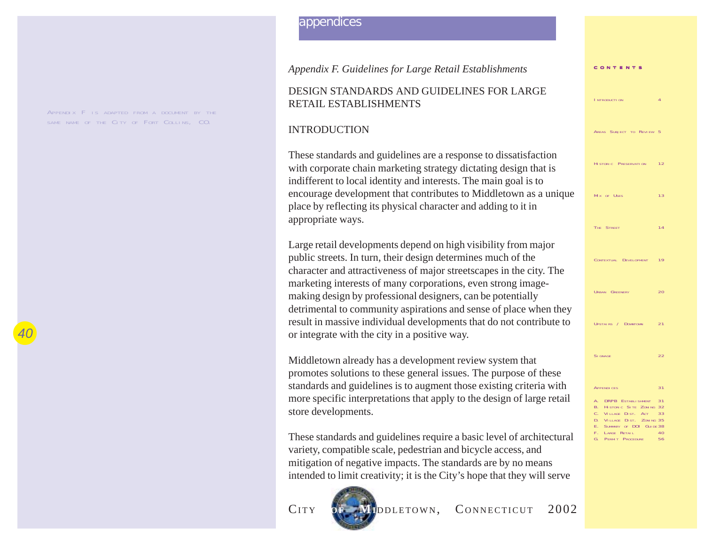| Appendix F. Guidelines for Large Retail Establishments                                                                                                                                                   | CONTENTS                                                                                                                                                |
|----------------------------------------------------------------------------------------------------------------------------------------------------------------------------------------------------------|---------------------------------------------------------------------------------------------------------------------------------------------------------|
| DESIGN STANDARDS AND GUIDELINES FOR LARGE<br>RETAIL ESTABLISHMENTS                                                                                                                                       | $\overline{4}$<br>I NTRODUCTION                                                                                                                         |
| <b>INTRODUCTION</b>                                                                                                                                                                                      | AREAS SUBJECT TO REVIEW 5                                                                                                                               |
| These standards and guidelines are a response to dissatisfaction<br>with corporate chain marketing strategy dictating design that is<br>indifferent to local identity and interests. The main goal is to | HISTORIC PRESERVATION<br>12                                                                                                                             |
| encourage development that contributes to Middletown as a unique<br>place by reflecting its physical character and adding to it in<br>appropriate ways.                                                  | MIX OF USES<br>13                                                                                                                                       |
|                                                                                                                                                                                                          | THE STREET<br>14                                                                                                                                        |
| Large retail developments depend on high visibility from major<br>public streets. In turn, their design determines much of the<br>character and attractiveness of major streetscapes in the city. The    | 19<br>CONTEXTUAL DEVELOPMENT                                                                                                                            |
| marketing interests of many corporations, even strong image-<br>making design by professional designers, can be potentially<br>detrimental to community aspirations and sense of place when they         | 20<br><b>URBAN GREENERY</b>                                                                                                                             |
| result in massive individual developments that do not contribute to<br>or integrate with the city in a positive way.                                                                                     | UPSTALRS / DOWNTOWN<br>21                                                                                                                               |
| Middletown already has a development review system that<br>promotes solutions to these general issues. The purpose of these                                                                              | 22<br><b>SI GNAGE</b>                                                                                                                                   |
| standards and guidelines is to augment those existing criteria with                                                                                                                                      | <b>APPENDICES</b><br>31                                                                                                                                 |
| more specific interpretations that apply to the design of large retail<br>store developments.                                                                                                            | A. DRPB ESTABLI SHMENT<br>31<br>HISTORIC SITE ZONING 32<br>B.<br>C. VILLAGE DIST. ACT<br>33<br>D. VILLAGE DIST. ZONING 35<br>E. SUMMARY OF DOI GUIDE 38 |
| These standards and guidelines require a basic level of architectural                                                                                                                                    | 40<br>F. LARGE RETAIL<br><b>G.</b> PERMIT PROCEDURE<br>56                                                                                               |
| variety, compatible scale, pedestrian and bicycle access, and                                                                                                                                            |                                                                                                                                                         |
| mitigation of negative impacts. The standards are by no means<br>intended to limit creativity; it is the City's hope that they will serve                                                                |                                                                                                                                                         |
|                                                                                                                                                                                                          |                                                                                                                                                         |

APPENDIX F IS ADAPTED FROM <sup>A</sup> DOCUMENT BY THE SAME NAME OF THE CITY OF FORT COLLINS, CO.

appendices

CITY OF MIDDLETOWN, CONNECTICUT 2002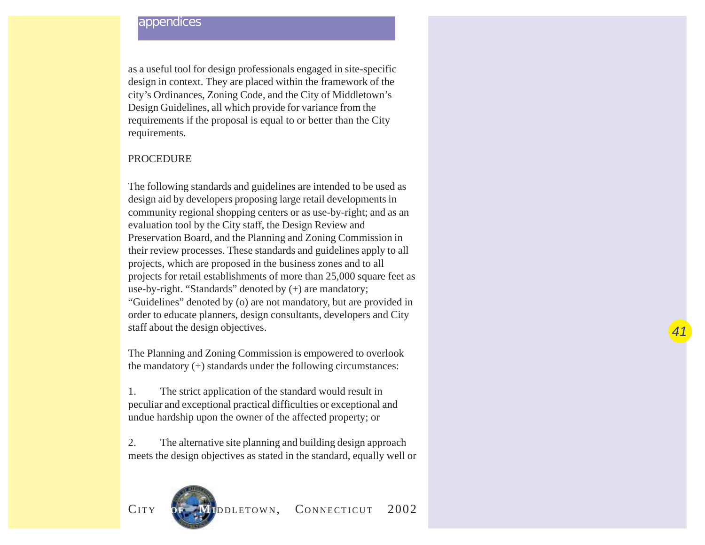as a useful tool for design professionals engaged in site-specific design in context. They are placed within the framework of the city's Ordinances, Zoning Code, and the City of Middletown's Design Guidelines, all which provide for variance from the requirements if the proposal is equal to or better than the City requirements.

## PROCEDURE

The following standards and guidelines are intended to be used as design aid by developers proposing large retail developments in community regional shopping centers or as use-by-right; and as an evaluation tool by the City staff, the Design Review and Preservation Board, and the Planning and Zoning Commission in their review processes. These standards and guidelines apply to all projects, which are proposed in the business zones and to all projects for retail establishments of more than 25,000 square feet as use-by-right. "Standards" denoted by  $(+)$  are mandatory; "Guidelines" denoted by (o) are not mandatory, but are provided in order to educate planners, design consultants, developers and City staff about the design objectives.

The Planning and Zoning Commission is empowered to overlook the mandatory (+) standards under the following circumstances:

1. The strict application of the standard would result in peculiar and exceptional practical difficulties or exceptional and undue hardship upon the owner of the affected property; or

2. The alternative site planning and building design approach meets the design objectives as stated in the standard, equally well or

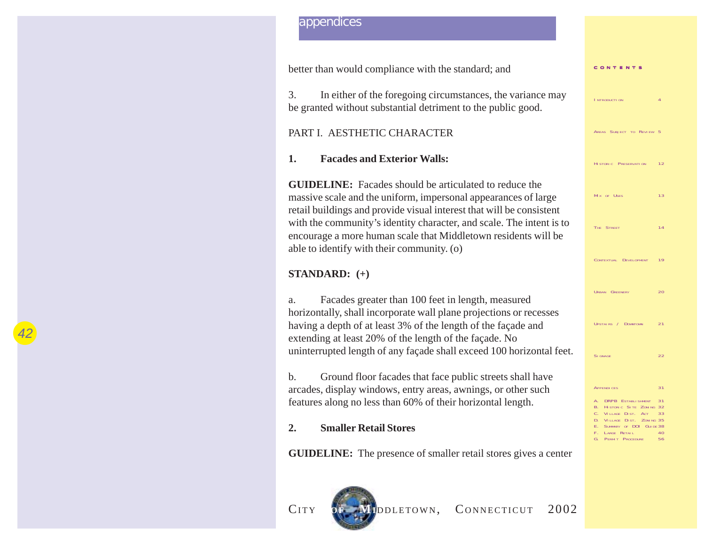| better than would compliance with the standard; and                                                                                                                                                                                                                             | CONTENTS                                                                                                                 |
|---------------------------------------------------------------------------------------------------------------------------------------------------------------------------------------------------------------------------------------------------------------------------------|--------------------------------------------------------------------------------------------------------------------------|
| 3.<br>In either of the foregoing circumstances, the variance may<br>be granted without substantial detriment to the public good.                                                                                                                                                | I NTRODUCTION<br>$\overline{A}$                                                                                          |
| PART I. AESTHETIC CHARACTER                                                                                                                                                                                                                                                     | AREAS SUBJECT TO REVIEW 5                                                                                                |
| <b>Facades and Exterior Walls:</b><br>1.                                                                                                                                                                                                                                        | HISTORIC PRESERVATION<br>12                                                                                              |
| <b>GUIDELINE:</b> Facades should be articulated to reduce the<br>massive scale and the uniform, impersonal appearances of large<br>retail buildings and provide visual interest that will be consistent<br>with the community's identity character, and scale. The intent is to | MIX OF USES<br>13                                                                                                        |
| encourage a more human scale that Middletown residents will be<br>able to identify with their community. (o)                                                                                                                                                                    | THE STREET<br>14<br>CONTEXTUAL DEVELOPMENT<br>19                                                                         |
| <b>STANDARD:</b> (+)                                                                                                                                                                                                                                                            |                                                                                                                          |
| Facades greater than 100 feet in length, measured<br>a.<br>horizontally, shall incorporate wall plane projections or recesses<br>having a depth of at least 3% of the length of the façade and                                                                                  | 20<br>URBAN GREENERY<br>UPSTALRS / DOWNTOWN<br>21                                                                        |
| extending at least 20% of the length of the façade. No<br>uninterrupted length of any façade shall exceed 100 horizontal feet.                                                                                                                                                  | 22<br><b>SI GNAGE</b>                                                                                                    |
| Ground floor facades that face public streets shall have<br>b.<br>arcades, display windows, entry areas, awnings, or other such<br>features along no less than 60% of their horizontal length.                                                                                  | 31<br><b>APPENDICES</b><br>DRPB ESTABLI SHMENT 31<br>A.<br>HISTORIC SITE ZONING 32<br>VILLAGE DIST. ACT<br>33            |
| <b>Smaller Retail Stores</b><br>2.                                                                                                                                                                                                                                              | VILLAGE DIST. ZONING 35<br>SUMMARY OF DOI GUIDE 38<br>F.<br>40<br>LARGE RETAIL<br>F.<br>56<br><b>G.</b> PERMIT PROCEDURE |
| <b>GUIDELINE:</b> The presence of smaller retail stores gives a center                                                                                                                                                                                                          |                                                                                                                          |
| C <sub>ITY</sub><br>2002<br>CONNECTICUT<br>DDLETOWN,                                                                                                                                                                                                                            |                                                                                                                          |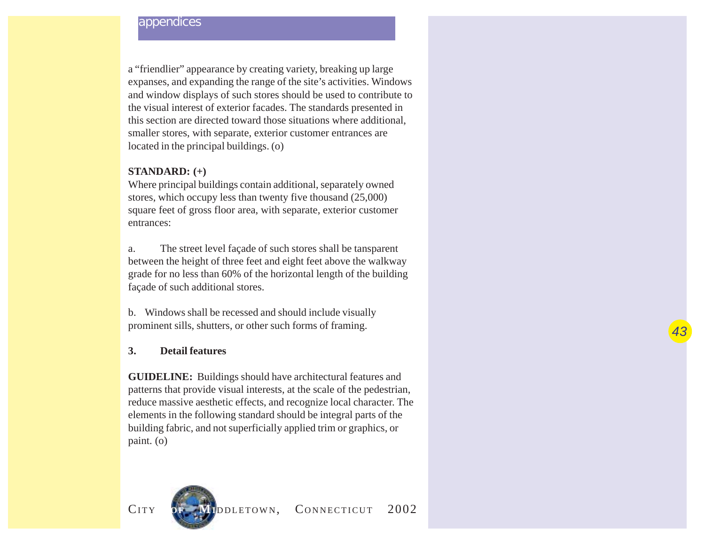a "friendlier" appearance by creating variety, breaking up large expanses, and expanding the range of the site's activities. Windows and window displays of such stores should be used to contribute to the visual interest of exterior facades. The standards presented in this section are directed toward those situations where additional, smaller stores, with separate, exterior customer entrances are located in the principal buildings. (o)

## **STANDARD: (+)**

Where principal buildings contain additional, separately owned stores, which occupy less than twenty five thousand (25,000) square feet of gross floor area, with separate, exterior customer entrances:

a. The street level façade of such stores shall be tansparent between the height of three feet and eight feet above the walkway grade for no less than 60% of the horizontal length of the building façade of such additional stores.

b. Windows shall be recessed and should include visually prominent sills, shutters, or other such forms of framing.

## **3. Detail features**

**GUIDELINE:** Buildings should have architectural features and patterns that provide visual interests, at the scale of the pedestrian, reduce massive aesthetic effects, and recognize local character. The elements in the following standard should be integral parts of the building fabric, and not superficially applied trim or graphics, or paint. (o)

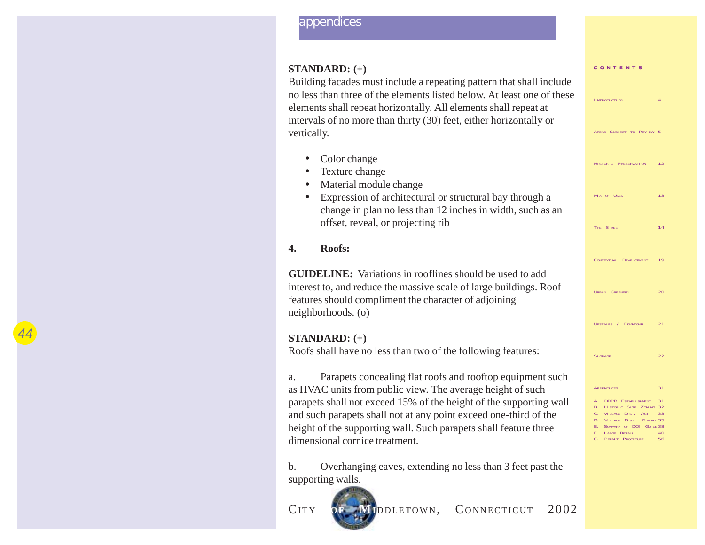## **STANDARD: (+)**

Building facades must include a repeating pattern that shall include no less than three of the elements listed below. At least one of these elements shall repeat horizontally. All elements shall repeat at intervals of no more than thirty (30) feet, either horizontally or vertically.

- $\bullet$ Color change
- •Texture change
- •Material module change
- • Expression of architectural or structural bay through a change in plan no less than 12 inches in width, such as an offset, reveal, or projecting rib

## **4. Roofs:**

**GUIDELINE:** Variations in rooflines should be used to add interest to, and reduce the massive scale of large buildings. Roof features should compliment the character of adjoining neighborhoods. (o)

## **STANDARD: (+)**

Roofs shall have no less than two of the following features:

a. Parapets concealing flat roofs and rooftop equipment such as HVAC units from public view. The average height of such parapets shall not exceed 15% of the height of the supporting wall and such parapets shall not at any point exceed one-third of the height of the supporting wall. Such parapets shall feature three dimensional cornice treatment.

b. Overhanging eaves, extending no less than 3 feet past the supporting walls.

CITY OF MIDDLETOWN, CONNECTICUT 2002

#### C O N T E N T S

| INTRODUCTION                                                                                                                                                                                               | $\overline{4}$ |
|------------------------------------------------------------------------------------------------------------------------------------------------------------------------------------------------------------|----------------|
| AREAS SUBJECT TO REVIEW 5                                                                                                                                                                                  |                |
| HISTORIC PRESERVATION                                                                                                                                                                                      | 12             |
| MIX OF USES                                                                                                                                                                                                | 13             |
| THE STREET                                                                                                                                                                                                 | 14             |
| CONTEXTUAL DEVELOPMENT                                                                                                                                                                                     | 19             |
| URBAN GREENERY                                                                                                                                                                                             | 20             |
| UPSTAIRS / DOWNTOWN                                                                                                                                                                                        | 21             |
| SI GNAGE                                                                                                                                                                                                   | 22             |
| <b>APPENDICES</b>                                                                                                                                                                                          | 31             |
| DRPB ESTABLI SHMENT<br>A.<br>HISTORIC SITE ZONING 32<br>B.<br>VILLAGE DIST. ACT 33<br>VILLAGE DIST. ZONING 35<br>SUMMARY OF DOI GUIDE 38<br>C.<br>D.<br>Ė.<br>F.<br>LARGE RETAIL<br>Ġ.<br>PERMIT PROCEDURE | 31<br>40<br>56 |

*44*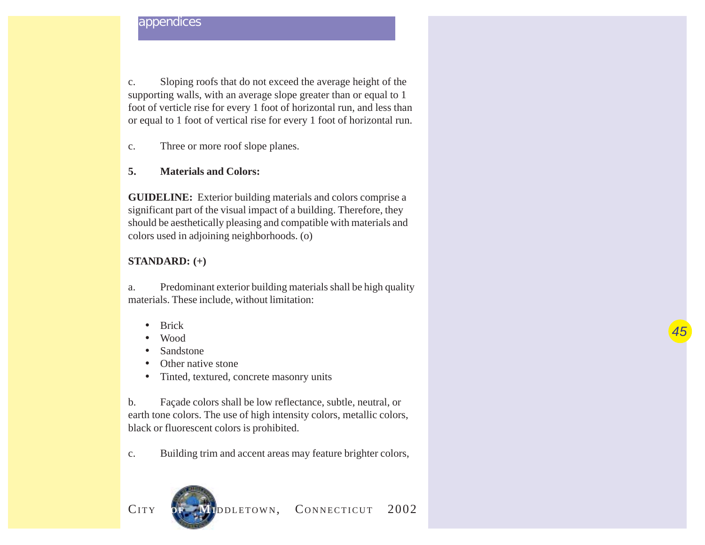c. Sloping roofs that do not exceed the average height of the supporting walls, with an average slope greater than or equal to 1 foot of verticle rise for every 1 foot of horizontal run, and less than or equal to 1 foot of vertical rise for every 1 foot of horizontal run.

c. Three or more roof slope planes.

## **5. Materials and Colors:**

**GUIDELINE:** Exterior building materials and colors comprise a significant part of the visual impact of a building. Therefore, they should be aesthetically pleasing and compatible with materials and colors used in adjoining neighborhoods. (o)

## **STANDARD: (+)**

a. Predominant exterior building materials shall be high quality materials. These include, without limitation:

- •Brick
- •Wood
- $\bullet$ Sandstone
- •Other native stone
- Tinted, textured, concrete masonry units

b. Façade colors shall be low reflectance, subtle, neutral, or earth tone colors. The use of high intensity colors, metallic colors, black or fluorescent colors is prohibited.

c. Building trim and accent areas may feature brighter colors,

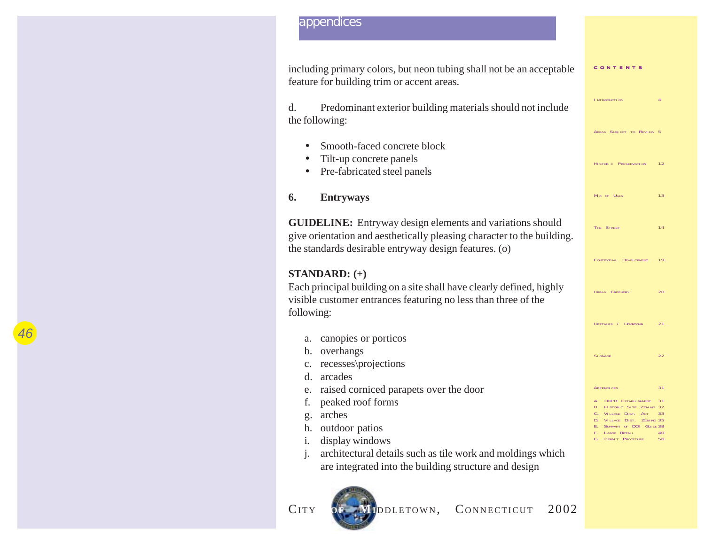| including primary colors, but neon tubing shall not be an acceptable<br>feature for building trim or accent areas.                                                                                  | CONTENTS                                                    |
|-----------------------------------------------------------------------------------------------------------------------------------------------------------------------------------------------------|-------------------------------------------------------------|
| d.<br>Predominant exterior building materials should not include<br>the following:                                                                                                                  | $\overline{4}$<br>I NTRODUCTION                             |
|                                                                                                                                                                                                     | AREAS SUBJECT TO REVIEW 5                                   |
| Smooth-faced concrete block<br>$\bullet$<br>Tilt-up concrete panels<br>$\bullet$<br>Pre-fabricated steel panels<br>$\bullet$                                                                        | HISTORIC PRESERVATION<br>12                                 |
| 6.<br><b>Entryways</b>                                                                                                                                                                              | MIX OF USES<br>13                                           |
| <b>GUIDELINE:</b> Entryway design elements and variations should<br>give orientation and aesthetically pleasing character to the building.<br>the standards desirable entryway design features. (o) | THE STREET<br>14                                            |
|                                                                                                                                                                                                     | CONTEXTUAL DEVELOPMENT<br>19                                |
| <b>STANDARD:</b> $(+)$<br>Each principal building on a site shall have clearly defined, highly<br>visible customer entrances featuring no less than three of the<br>following:                      | URBAN GREENERY<br>20                                        |
|                                                                                                                                                                                                     | UPSTAIRS / DOWNTOWN<br>21                                   |
| canopies or porticos<br>a.<br>overhangs<br>b.<br>c. recesses\projections<br>$d_{\cdot}$<br>arcades                                                                                                  | 22<br><b>SI GNAGE</b>                                       |
| raised corniced parapets over the door<br>e.                                                                                                                                                        | 31<br><b>APPENDI CES</b>                                    |
| peaked roof forms<br>f.                                                                                                                                                                             | A. DRPB ESTABLISHMENT 31<br>B. HISTORIC SITE ZONING 32      |
| arches<br>g.                                                                                                                                                                                        | C. VILLAGE DIST. ACT<br>33<br>VILLAGE DIST. ZONING 35<br>D. |
| outdoor patios<br>h.                                                                                                                                                                                | E. SUMMARY OF DOI GUIDE 38<br>40<br>F. LARGE RETAIL         |
| display windows<br>i.                                                                                                                                                                               | <b>G.</b> PERMIT PROCEDURE<br>56                            |
| $\mathbf{i}$ .<br>architectural details such as tile work and moldings which<br>are integrated into the building structure and design                                                               |                                                             |
|                                                                                                                                                                                                     |                                                             |



CITY OF MIDDLETOWN, CONNECTICUT 2002

*46*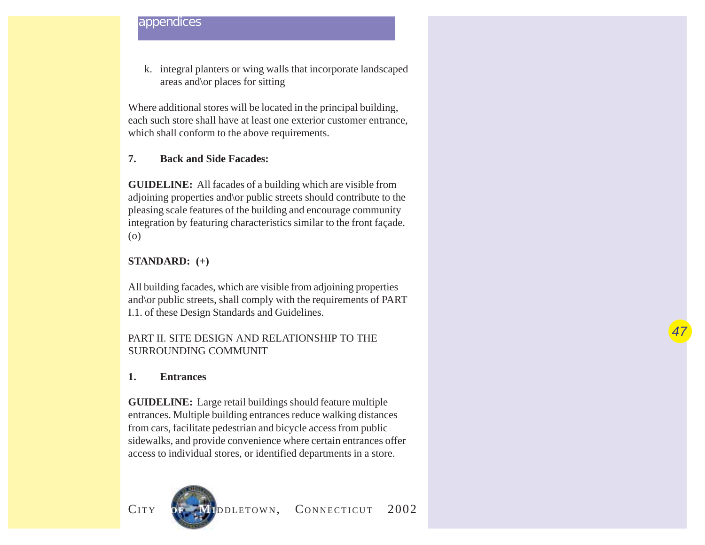k. integral planters or wing walls that incorporate landscaped areas and\or places for sitting

Where additional stores will be located in the principal building, each such store shall have at least one exterior customer entrance, which shall conform to the above requirements.

## **7. Back and Side Facades:**

**GUIDELINE:** All facades of a building which are visible from adjoining properties and\or public streets should contribute to the pleasing scale features of the building and encourage community integration by featuring characteristics similar to the front façade. (o)

## **STANDARD: (+)**

All building facades, which are visible from adjoining properties and\or public streets, shall comply with the requirements of PART I.1. of these Design Standards and Guidelines.

## PART II. SITE DESIGN AND RELATIONSHIP TO THE SURROUNDING COMMUNIT

## **1. Entrances**

**GUIDELINE:** Large retail buildings should feature multiple entrances. Multiple building entrances reduce walking distances from cars, facilitate pedestrian and bicycle access from public sidewalks, and provide convenience where certain entrances offer access to individual stores, or identified departments in a store.

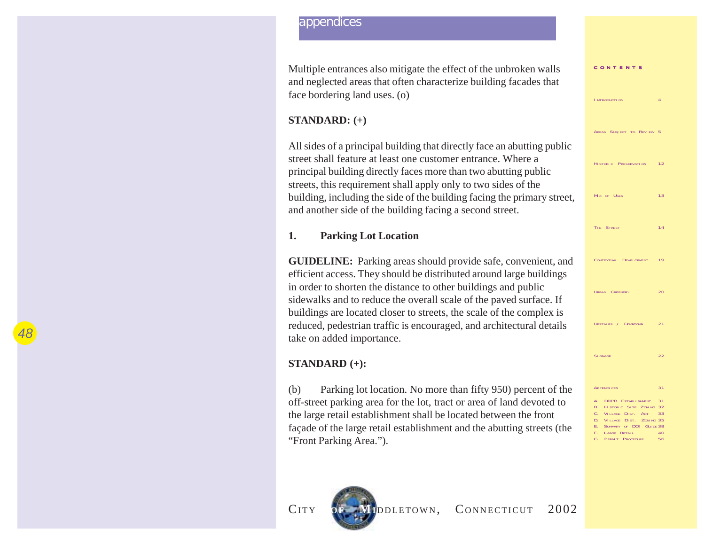Multiple entrances also mitigate the effect of the unbroken walls and neglected areas that often characterize building facades that face bordering land uses. (o)

## **STANDARD: (+)**

All sides of a principal building that directly face an abutting public street shall feature at least one customer entrance. Where a principal building directly faces more than two abutting public streets, this requirement shall apply only to two sides of the building, including the side of the building facing the primary street, and another side of the building facing a second street.

## **1. Parking Lot Location**

**GUIDELINE:** Parking areas should provide safe, convenient, and efficient access. They should be distributed around large buildings in order to shorten the distance to other buildings and public sidewalks and to reduce the overall scale of the paved surface. If buildings are located closer to streets, the scale of the complex is reduced, pedestrian traffic is encouraged, and architectural details take on added importance.

## **STANDARD (+):**

(b) Parking lot location. No more than fifty 950) percent of the off-street parking area for the lot, tract or area of land devoted to the large retail establishment shall be located between the front façade of the large retail establishment and the abutting streets (the "Front Parking Area.").

| CONTENTS                                                                                                                                                                                                  |                |
|-----------------------------------------------------------------------------------------------------------------------------------------------------------------------------------------------------------|----------------|
| INTRODUCTION                                                                                                                                                                                              | $\overline{4}$ |
| AREAS SUBJECT TO REVIEW 5                                                                                                                                                                                 |                |
| HISTORIC PRESERVATION                                                                                                                                                                                     | 12             |
| MIX OF USES                                                                                                                                                                                               | 13             |
| THE STREET                                                                                                                                                                                                | 14             |
| CONTEXTUAL DEVELOPMENT 19                                                                                                                                                                                 |                |
| URBAN GREENERY                                                                                                                                                                                            | 20             |
| UPSTAIRS / DOWNTOWN                                                                                                                                                                                       | 21             |
| SI GNAGE                                                                                                                                                                                                  | 22             |
| <b>APPENDICES</b>                                                                                                                                                                                         | 31             |
| DRPB ESTABLISHMENT 31<br>А.<br>B.<br>HISTORIC SITE ZONING 32<br>C.<br>VILLAGE DIST. ACT 33<br>VILLAGE DIST. ZONING 35<br>SUMMARY OF DOI GUIDE 38<br>Ď.<br>Ë.<br>LARGE RETAIL<br>F.<br>G. PERMIT PROCEDURE | 40<br>56       |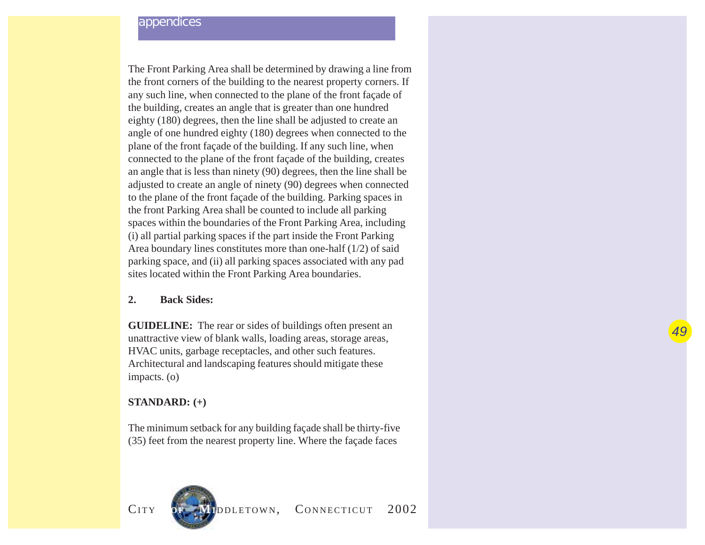The Front Parking Area shall be determined by drawing a line from the front corners of the building to the nearest property corners. If any such line, when connected to the plane of the front façade of the building, creates an angle that is greater than one hundred eighty (180) degrees, then the line shall be adjusted to create an angle of one hundred eighty (180) degrees when connected to the plane of the front façade of the building. If any such line, when connected to the plane of the front façade of the building, creates an angle that is less than ninety (90) degrees, then the line shall be adjusted to create an angle of ninety (90) degrees when connected to the plane of the front façade of the building. Parking spaces in the front Parking Area shall be counted to include all parking spaces within the boundaries of the Front Parking Area, including (i) all partial parking spaces if the part inside the Front Parking Area boundary lines constitutes more than one-half (1/2) of said parking space, and (ii) all parking spaces associated with any pad sites located within the Front Parking Area boundaries.

## **2. Back Sides:**

**GUIDELINE:** The rear or sides of buildings often present an unattractive view of blank walls, loading areas, storage areas, HVAC units, garbage receptacles, and other such features. Architectural and landscaping features should mitigate these impacts. (o)

## **STANDARD: (+)**

The minimum setback for any building façade shall be thirty-five (35) feet from the nearest property line. Where the façade faces

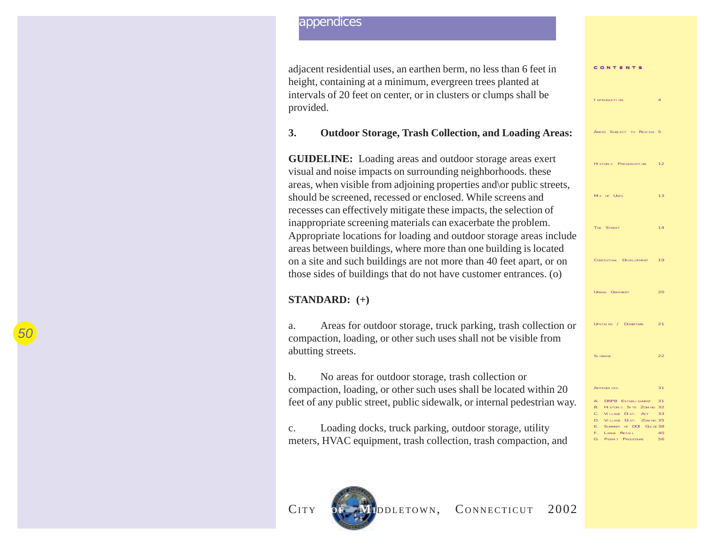adjacent residential uses, an earthen berm, no less than 6 feet in height, containing at a minimum, evergreen trees planted at intervals of 20 feet on center, or in clusters or clumps shall be provided.

## **3. Outdoor Storage, Trash Collection, and Loading Areas:**

**GUIDELINE:** Loading areas and outdoor storage areas exert visual and noise impacts on surrounding neighborhoods. these areas, when visible from adjoining properties and\or public streets, should be screened, recessed or enclosed. While screens and recesses can effectively mitigate these impacts, the selection of inappropriate screening materials can exacerbate the problem. Appropriate locations for loading and outdoor storage areas include areas between buildings, where more than one building is located on a site and such buildings are not more than 40 feet apart, or on those sides of buildings that do not have customer entrances. (o)

## **STANDARD: (+)**

a. Areas for outdoor storage, truck parking, trash collection or compaction, loading, or other such uses shall not be visible from abutting streets.

b. No areas for outdoor storage, trash collection or compaction, loading, or other such uses shall be located within 20 feet of any public street, public sidewalk, or internal pedestrian way.

c. Loading docks, truck parking, outdoor storage, utility meters, HVAC equipment, trash collection, trash compaction, and

| CONTENTS                                                                                                                                                                                                                            |                |
|-------------------------------------------------------------------------------------------------------------------------------------------------------------------------------------------------------------------------------------|----------------|
| INTRODUCTION                                                                                                                                                                                                                        | $\overline{4}$ |
| AREAS SUBJECT TO REVIEW 5                                                                                                                                                                                                           |                |
| HISTORIC PRESERVATION                                                                                                                                                                                                               | 12             |
| MIX OF USES                                                                                                                                                                                                                         | 13             |
| THE STREET                                                                                                                                                                                                                          | 14             |
| CONTEXTUAL DEVELOPMENT                                                                                                                                                                                                              | 19             |
| URBAN GREENERY                                                                                                                                                                                                                      | 20             |
| UPSTAIRS / DOWNTOWN                                                                                                                                                                                                                 | 21             |
| <b>SI GNAGE</b>                                                                                                                                                                                                                     | 22             |
| <b>APPENDICES</b>                                                                                                                                                                                                                   | 31             |
| A. DRPB ESTABLISHMENT 31<br><b>HISTORIC SITE ZONING 32</b><br>VILLAGE DIST. ACT 33<br>VILLAGE DIST. ZONING 35<br>SUMMARY OF DOI GUIDE 38<br><b>B.</b><br>$\mathbf{c}$ .<br>D.<br>È,<br>F.<br>LARGE RETAIL<br>PERMIT PROCEDURE<br>G. | 40<br>56       |



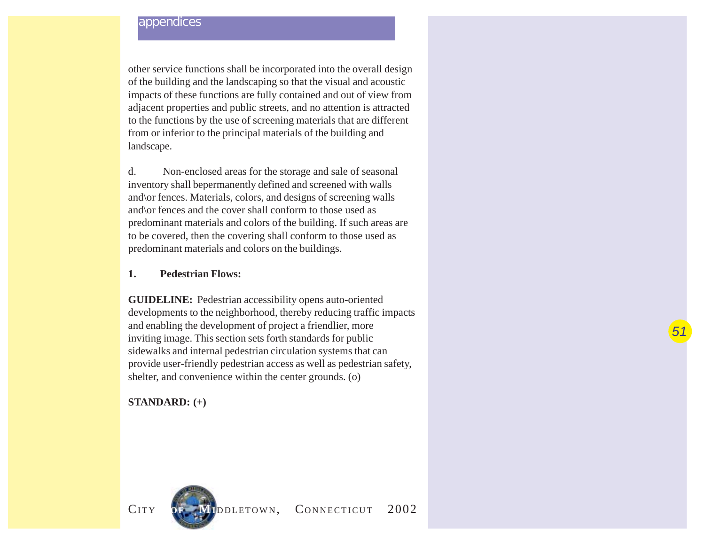other service functions shall be incorporated into the overall design of the building and the landscaping so that the visual and acoustic impacts of these functions are fully contained and out of view from adjacent properties and public streets, and no attention is attracted to the functions by the use of screening materials that are different from or inferior to the principal materials of the building and landscape.

d. Non-enclosed areas for the storage and sale of seasonal inventory shall bepermanently defined and screened with walls and\or fences. Materials, colors, and designs of screening walls and\or fences and the cover shall conform to those used as predominant materials and colors of the building. If such areas are to be covered, then the covering shall conform to those used as predominant materials and colors on the buildings.

## **1. Pedestrian Flows:**

**GUIDELINE:** Pedestrian accessibility opens auto-oriented developments to the neighborhood, thereby reducing traffic impacts and enabling the development of project a friendlier, more inviting image. This section sets forth standards for public sidewalks and internal pedestrian circulation systems that can provide user-friendly pedestrian access as well as pedestrian safety, shelter, and convenience within the center grounds. (o)

**STANDARD: (+)**

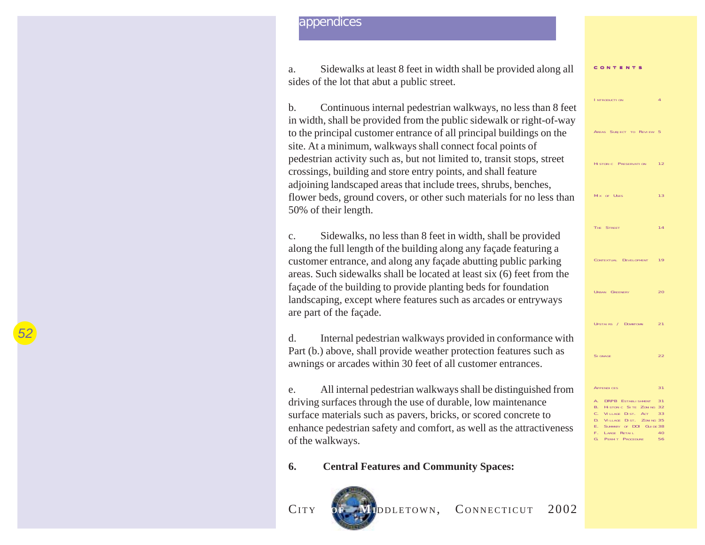a. Sidewalks at least 8 feet in width shall be provided along all sides of the lot that abut a public street.

b. Continuous internal pedestrian walkways, no less than 8 feet in width, shall be provided from the public sidewalk or right-of-way to the principal customer entrance of all principal buildings on the site. At a minimum, walkways shall connect focal points of pedestrian activity such as, but not limited to, transit stops, street crossings, building and store entry points, and shall feature adjoining landscaped areas that include trees, shrubs, benches, flower beds, ground covers, or other such materials for no less than 50% of their length.

c. Sidewalks, no less than 8 feet in width, shall be provided along the full length of the building along any façade featuring a customer entrance, and along any façade abutting public parking areas. Such sidewalks shall be located at least six (6) feet from the façade of the building to provide planting beds for foundation landscaping, except where features such as arcades or entryways are part of the façade.

d. Internal pedestrian walkways provided in conformance with Part (b.) above, shall provide weather protection features such as awnings or arcades within 30 feet of all customer entrances.

e. All internal pedestrian walkways shall be distinguished from driving surfaces through the use of durable, low maintenance surface materials such as pavers, bricks, or scored concrete to enhance pedestrian safety and comfort, as well as the attractiveness of the walkways.

**6. Central Features and Community Spaces:**



C O N T E N T S

| INTRODUCTION                                                                                                                                                                                                                  | $\overline{4}$       |
|-------------------------------------------------------------------------------------------------------------------------------------------------------------------------------------------------------------------------------|----------------------|
| AREAS SUBJECT TO REVIEW 5                                                                                                                                                                                                     |                      |
| HISTORIC PRESERVATION                                                                                                                                                                                                         | 12                   |
| MIX OF USES                                                                                                                                                                                                                   | 13                   |
| THE STREET                                                                                                                                                                                                                    | 14                   |
| CONTEXTUAL DEVELOPMENT                                                                                                                                                                                                        | 19                   |
| URBAN GREENERY                                                                                                                                                                                                                | 20                   |
| UPSTAIRS / DOWNTOWN                                                                                                                                                                                                           | 21                   |
| <b>SI GNAGE</b>                                                                                                                                                                                                               | 22                   |
| <b>APPENDI CES</b>                                                                                                                                                                                                            | 31                   |
| <b>DRPB</b> ESTABLI SHMENT<br>A.<br>HISTORIC SITE ZONING<br><b>B.</b><br>$\mathsf{C}.$<br>VILLAGE DIST. ACT 33<br>VILLAGE DIST. ZONING 35<br>SUMMARY OF DOI GUIDE 38<br>D.<br>Е.<br>LARGE RETAIL<br>F.<br>G. PERMIT PROCEDURE | 31<br>32<br>40<br>56 |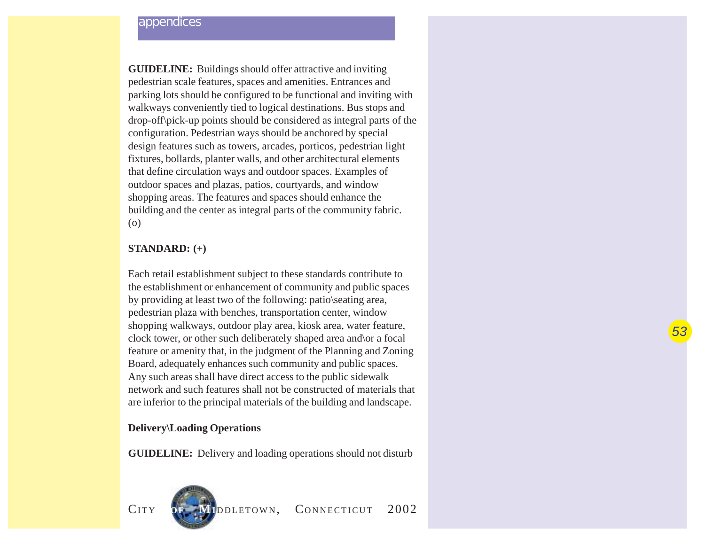**GUIDELINE:** Buildings should offer attractive and inviting pedestrian scale features, spaces and amenities. Entrances and parking lots should be configured to be functional and inviting with walkways conveniently tied to logical destinations. Bus stops and drop-off\pick-up points should be considered as integral parts of the configuration. Pedestrian ways should be anchored by special design features such as towers, arcades, porticos, pedestrian light fixtures, bollards, planter walls, and other architectural elements that define circulation ways and outdoor spaces. Examples of outdoor spaces and plazas, patios, courtyards, and window shopping areas. The features and spaces should enhance the building and the center as integral parts of the community fabric. (o)

## **STANDARD: (+)**

Each retail establishment subject to these standards contribute to the establishment or enhancement of community and public spaces by providing at least two of the following: patio\seating area, pedestrian plaza with benches, transportation center, window shopping walkways, outdoor play area, kiosk area, water feature, clock tower, or other such deliberately shaped area and\or a focal feature or amenity that, in the judgment of the Planning and Zoning Board, adequately enhances such community and public spaces. Any such areas shall have direct access to the public sidewalk network and such features shall not be constructed of materials that are inferior to the principal materials of the building and landscape.

## **Delivery\Loading Operations**

**GUIDELINE:** Delivery and loading operations should not disturb

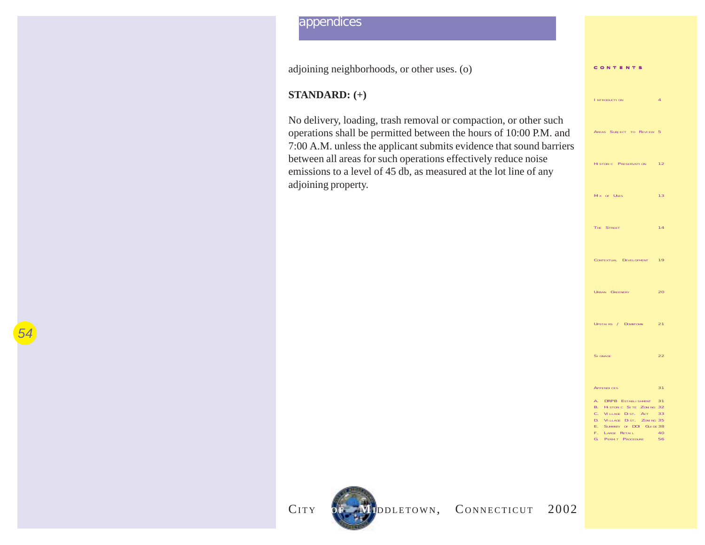adjoining neighborhoods, or other uses. (o)

## **STANDARD: (+)**

No delivery, loading, trash removal or compaction, or other such operations shall be permitted between the hours of 10:00 P.M. and 7:00 A.M. unless the applicant submits evidence that sound barriers between all areas for such operations effectively reduce noise emissions to a level of 45 db, as measured at the lot line of any adjoining property.

|  |  | CONTENTS |  |  |
|--|--|----------|--|--|
|  |  |          |  |  |

| AREAS SUBJECT TO REVIEW 5<br>12                                     |
|---------------------------------------------------------------------|
|                                                                     |
|                                                                     |
| 13                                                                  |
| 14                                                                  |
| 19                                                                  |
| 20                                                                  |
| 21                                                                  |
| 22                                                                  |
| 31                                                                  |
| DRPB ESTABLI SHMENT<br>31<br>32<br>VILLAGE DIST. ACT 33<br>40<br>56 |
|                                                                     |

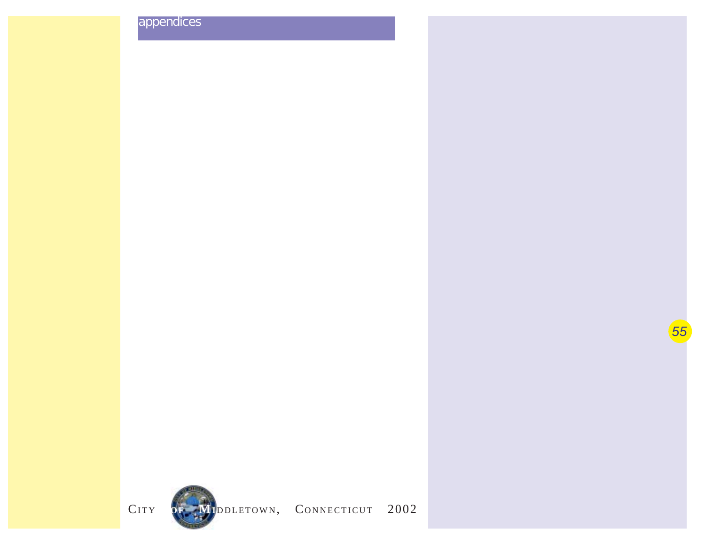